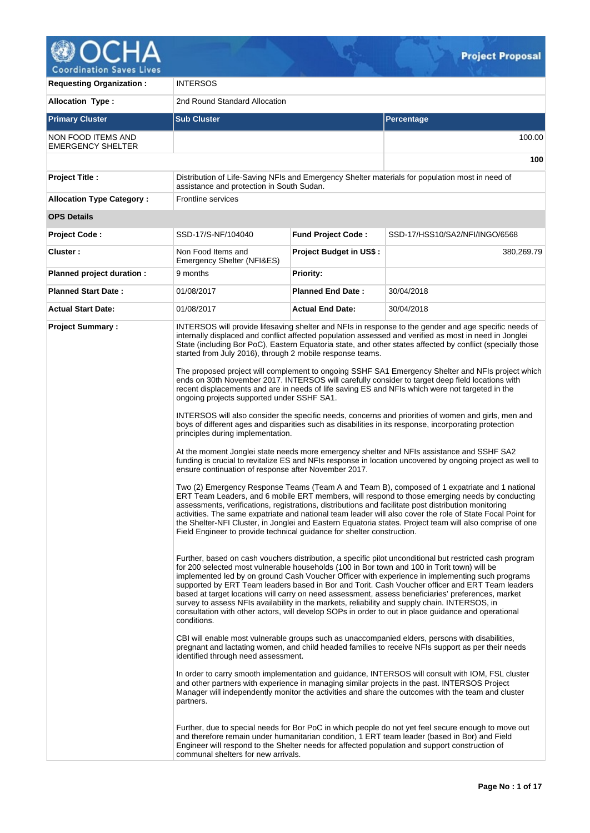

| <b>Requesting Organization:</b>                | <b>INTERSOS</b>                                                                                                                                                                                                                                                                                                                                   |                                |                                                                                                                                                                                                                                                                                                                                                                                                                                                                                                                                                                                                                                                                                                                                                                                                                                                                                                                                                                                                                                                                                                                                                                                                                                                                                                                                                                                                                                                                                                                                                                                                                                                                                                                                                                                                                                                                                                                                                                                                                                                                                                                                                                                                                                                                                                                                                                                                                                                                                                                                                                                                                                                                                                                                                                                                                                                                                                                                                                                                                                                                      |  |  |  |  |  |
|------------------------------------------------|---------------------------------------------------------------------------------------------------------------------------------------------------------------------------------------------------------------------------------------------------------------------------------------------------------------------------------------------------|--------------------------------|----------------------------------------------------------------------------------------------------------------------------------------------------------------------------------------------------------------------------------------------------------------------------------------------------------------------------------------------------------------------------------------------------------------------------------------------------------------------------------------------------------------------------------------------------------------------------------------------------------------------------------------------------------------------------------------------------------------------------------------------------------------------------------------------------------------------------------------------------------------------------------------------------------------------------------------------------------------------------------------------------------------------------------------------------------------------------------------------------------------------------------------------------------------------------------------------------------------------------------------------------------------------------------------------------------------------------------------------------------------------------------------------------------------------------------------------------------------------------------------------------------------------------------------------------------------------------------------------------------------------------------------------------------------------------------------------------------------------------------------------------------------------------------------------------------------------------------------------------------------------------------------------------------------------------------------------------------------------------------------------------------------------------------------------------------------------------------------------------------------------------------------------------------------------------------------------------------------------------------------------------------------------------------------------------------------------------------------------------------------------------------------------------------------------------------------------------------------------------------------------------------------------------------------------------------------------------------------------------------------------------------------------------------------------------------------------------------------------------------------------------------------------------------------------------------------------------------------------------------------------------------------------------------------------------------------------------------------------------------------------------------------------------------------------------------------------|--|--|--|--|--|
| <b>Allocation Type:</b>                        | 2nd Round Standard Allocation                                                                                                                                                                                                                                                                                                                     |                                |                                                                                                                                                                                                                                                                                                                                                                                                                                                                                                                                                                                                                                                                                                                                                                                                                                                                                                                                                                                                                                                                                                                                                                                                                                                                                                                                                                                                                                                                                                                                                                                                                                                                                                                                                                                                                                                                                                                                                                                                                                                                                                                                                                                                                                                                                                                                                                                                                                                                                                                                                                                                                                                                                                                                                                                                                                                                                                                                                                                                                                                                      |  |  |  |  |  |
| <b>Primary Cluster</b>                         | <b>Sub Cluster</b>                                                                                                                                                                                                                                                                                                                                |                                | <b>Percentage</b>                                                                                                                                                                                                                                                                                                                                                                                                                                                                                                                                                                                                                                                                                                                                                                                                                                                                                                                                                                                                                                                                                                                                                                                                                                                                                                                                                                                                                                                                                                                                                                                                                                                                                                                                                                                                                                                                                                                                                                                                                                                                                                                                                                                                                                                                                                                                                                                                                                                                                                                                                                                                                                                                                                                                                                                                                                                                                                                                                                                                                                                    |  |  |  |  |  |
| NON FOOD ITEMS AND<br><b>EMERGENCY SHELTER</b> |                                                                                                                                                                                                                                                                                                                                                   |                                | 100.00                                                                                                                                                                                                                                                                                                                                                                                                                                                                                                                                                                                                                                                                                                                                                                                                                                                                                                                                                                                                                                                                                                                                                                                                                                                                                                                                                                                                                                                                                                                                                                                                                                                                                                                                                                                                                                                                                                                                                                                                                                                                                                                                                                                                                                                                                                                                                                                                                                                                                                                                                                                                                                                                                                                                                                                                                                                                                                                                                                                                                                                               |  |  |  |  |  |
|                                                |                                                                                                                                                                                                                                                                                                                                                   |                                | 100                                                                                                                                                                                                                                                                                                                                                                                                                                                                                                                                                                                                                                                                                                                                                                                                                                                                                                                                                                                                                                                                                                                                                                                                                                                                                                                                                                                                                                                                                                                                                                                                                                                                                                                                                                                                                                                                                                                                                                                                                                                                                                                                                                                                                                                                                                                                                                                                                                                                                                                                                                                                                                                                                                                                                                                                                                                                                                                                                                                                                                                                  |  |  |  |  |  |
| <b>Project Title:</b>                          | assistance and protection in South Sudan.                                                                                                                                                                                                                                                                                                         |                                | Distribution of Life-Saving NFIs and Emergency Shelter materials for population most in need of                                                                                                                                                                                                                                                                                                                                                                                                                                                                                                                                                                                                                                                                                                                                                                                                                                                                                                                                                                                                                                                                                                                                                                                                                                                                                                                                                                                                                                                                                                                                                                                                                                                                                                                                                                                                                                                                                                                                                                                                                                                                                                                                                                                                                                                                                                                                                                                                                                                                                                                                                                                                                                                                                                                                                                                                                                                                                                                                                                      |  |  |  |  |  |
| <b>Allocation Type Category:</b>               | <b>Frontline services</b>                                                                                                                                                                                                                                                                                                                         |                                |                                                                                                                                                                                                                                                                                                                                                                                                                                                                                                                                                                                                                                                                                                                                                                                                                                                                                                                                                                                                                                                                                                                                                                                                                                                                                                                                                                                                                                                                                                                                                                                                                                                                                                                                                                                                                                                                                                                                                                                                                                                                                                                                                                                                                                                                                                                                                                                                                                                                                                                                                                                                                                                                                                                                                                                                                                                                                                                                                                                                                                                                      |  |  |  |  |  |
| <b>OPS Details</b>                             |                                                                                                                                                                                                                                                                                                                                                   |                                |                                                                                                                                                                                                                                                                                                                                                                                                                                                                                                                                                                                                                                                                                                                                                                                                                                                                                                                                                                                                                                                                                                                                                                                                                                                                                                                                                                                                                                                                                                                                                                                                                                                                                                                                                                                                                                                                                                                                                                                                                                                                                                                                                                                                                                                                                                                                                                                                                                                                                                                                                                                                                                                                                                                                                                                                                                                                                                                                                                                                                                                                      |  |  |  |  |  |
| <b>Project Code:</b>                           | SSD-17/S-NF/104040                                                                                                                                                                                                                                                                                                                                | Fund Project Code:             | SSD-17/HSS10/SA2/NFI/INGO/6568                                                                                                                                                                                                                                                                                                                                                                                                                                                                                                                                                                                                                                                                                                                                                                                                                                                                                                                                                                                                                                                                                                                                                                                                                                                                                                                                                                                                                                                                                                                                                                                                                                                                                                                                                                                                                                                                                                                                                                                                                                                                                                                                                                                                                                                                                                                                                                                                                                                                                                                                                                                                                                                                                                                                                                                                                                                                                                                                                                                                                                       |  |  |  |  |  |
| Cluster:                                       | Non Food Items and<br>Emergency Shelter (NFI&ES)                                                                                                                                                                                                                                                                                                  | <b>Project Budget in US\$:</b> | 380,269.79                                                                                                                                                                                                                                                                                                                                                                                                                                                                                                                                                                                                                                                                                                                                                                                                                                                                                                                                                                                                                                                                                                                                                                                                                                                                                                                                                                                                                                                                                                                                                                                                                                                                                                                                                                                                                                                                                                                                                                                                                                                                                                                                                                                                                                                                                                                                                                                                                                                                                                                                                                                                                                                                                                                                                                                                                                                                                                                                                                                                                                                           |  |  |  |  |  |
| Planned project duration :                     | 9 months                                                                                                                                                                                                                                                                                                                                          | <b>Priority:</b>               |                                                                                                                                                                                                                                                                                                                                                                                                                                                                                                                                                                                                                                                                                                                                                                                                                                                                                                                                                                                                                                                                                                                                                                                                                                                                                                                                                                                                                                                                                                                                                                                                                                                                                                                                                                                                                                                                                                                                                                                                                                                                                                                                                                                                                                                                                                                                                                                                                                                                                                                                                                                                                                                                                                                                                                                                                                                                                                                                                                                                                                                                      |  |  |  |  |  |
| <b>Planned Start Date:</b>                     | 01/08/2017                                                                                                                                                                                                                                                                                                                                        | <b>Planned End Date:</b>       | 30/04/2018                                                                                                                                                                                                                                                                                                                                                                                                                                                                                                                                                                                                                                                                                                                                                                                                                                                                                                                                                                                                                                                                                                                                                                                                                                                                                                                                                                                                                                                                                                                                                                                                                                                                                                                                                                                                                                                                                                                                                                                                                                                                                                                                                                                                                                                                                                                                                                                                                                                                                                                                                                                                                                                                                                                                                                                                                                                                                                                                                                                                                                                           |  |  |  |  |  |
| <b>Actual Start Date:</b>                      | 01/08/2017                                                                                                                                                                                                                                                                                                                                        | <b>Actual End Date:</b>        | 30/04/2018                                                                                                                                                                                                                                                                                                                                                                                                                                                                                                                                                                                                                                                                                                                                                                                                                                                                                                                                                                                                                                                                                                                                                                                                                                                                                                                                                                                                                                                                                                                                                                                                                                                                                                                                                                                                                                                                                                                                                                                                                                                                                                                                                                                                                                                                                                                                                                                                                                                                                                                                                                                                                                                                                                                                                                                                                                                                                                                                                                                                                                                           |  |  |  |  |  |
| <b>Project Summary:</b>                        | started from July 2016), through 2 mobile response teams.<br>ongoing projects supported under SSHF SA1.<br>principles during implementation.<br>ensure continuation of response after November 2017.<br>Field Engineer to provide technical guidance for shelter construction.<br>conditions.<br>identified through need assessment.<br>partners. |                                | INTERSOS will provide lifesaving shelter and NFIs in response to the gender and age specific needs of<br>internally displaced and conflict affected population assessed and verified as most in need in Jonglei<br>State (including Bor PoC), Eastern Equatoria state, and other states affected by conflict (specially those<br>The proposed project will complement to ongoing SSHF SA1 Emergency Shelter and NFIs project which<br>ends on 30th November 2017. INTERSOS will carefully consider to target deep field locations with<br>recent displacements and are in needs of life saving ES and NFIs which were not targeted in the<br>INTERSOS will also consider the specific needs, concerns and priorities of women and girls, men and<br>boys of different ages and disparities such as disabilities in its response, incorporating protection<br>At the moment Jonglei state needs more emergency shelter and NFIs assistance and SSHF SA2<br>funding is crucial to revitalize ES and NFIs response in location uncovered by ongoing project as well to<br>Two (2) Emergency Response Teams (Team A and Team B), composed of 1 expatriate and 1 national<br>ERT Team Leaders, and 6 mobile ERT members, will respond to those emerging needs by conducting<br>assessments, verifications, registrations, distributions and facilitate post distribution monitoring<br>activities. The same expatriate and national team leader will also cover the role of State Focal Point for<br>the Shelter-NFI Cluster, in Jonglei and Eastern Equatoria states. Project team will also comprise of one<br>Further, based on cash vouchers distribution, a specific pilot unconditional but restricted cash program<br>for 200 selected most vulnerable households (100 in Bor town and 100 in Torit town) will be<br>implemented led by on ground Cash Voucher Officer with experience in implementing such programs<br>supported by ERT Team leaders based in Bor and Torit. Cash Voucher officer and ERT Team leaders<br>based at target locations will carry on need assessment, assess beneficiaries' preferences, market<br>survey to assess NFIs availability in the markets, reliability and supply chain. INTERSOS, in<br>consultation with other actors, will develop SOPs in order to out in place guidance and operational<br>CBI will enable most vulnerable groups such as unaccompanied elders, persons with disabilities,<br>pregnant and lactating women, and child headed families to receive NFIs support as per their needs<br>In order to carry smooth implementation and guidance, INTERSOS will consult with IOM, FSL cluster<br>and other partners with experience in managing similar projects in the past. INTERSOS Project<br>Manager will independently monitor the activities and share the outcomes with the team and cluster<br>Further, due to special needs for Bor PoC in which people do not yet feel secure enough to move out<br>and therefore remain under humanitarian condition, 1 ERT team leader (based in Bor) and Field |  |  |  |  |  |
|                                                | communal shelters for new arrivals.                                                                                                                                                                                                                                                                                                               |                                | Engineer will respond to the Shelter needs for affected population and support construction of                                                                                                                                                                                                                                                                                                                                                                                                                                                                                                                                                                                                                                                                                                                                                                                                                                                                                                                                                                                                                                                                                                                                                                                                                                                                                                                                                                                                                                                                                                                                                                                                                                                                                                                                                                                                                                                                                                                                                                                                                                                                                                                                                                                                                                                                                                                                                                                                                                                                                                                                                                                                                                                                                                                                                                                                                                                                                                                                                                       |  |  |  |  |  |

 $\mathbb{C}$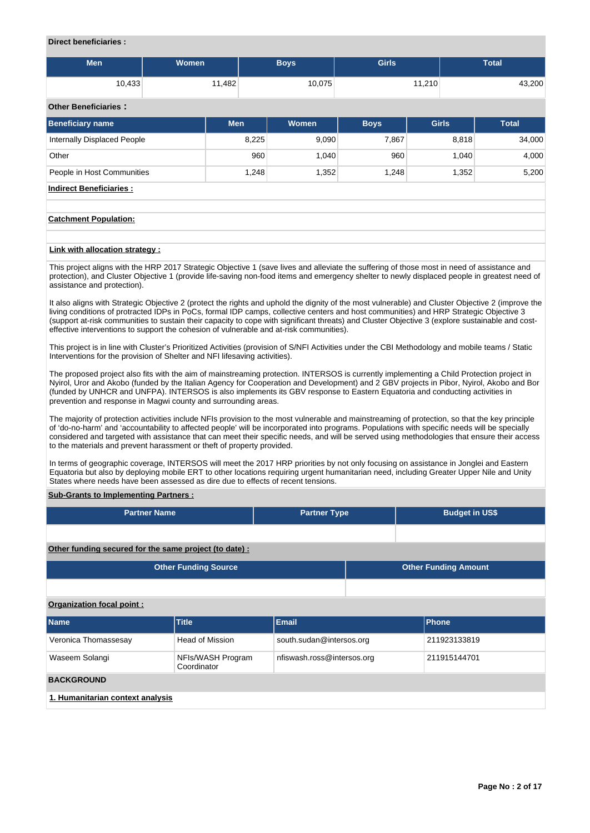#### **Direct beneficiaries :**

| <b>Men</b> | Women  | Boys   | <b>Girls</b> | <b>Total</b> |
|------------|--------|--------|--------------|--------------|
|            |        |        |              |              |
| 10,433     | 11,482 | 10,075 | 11,210       | 43,200       |

# **Other Beneficiaries :**

| <b>Beneficiary name</b>     | <b>Men</b> | Women | <b>Boys</b> | <b>Girls</b> | <b>Total</b> |
|-----------------------------|------------|-------|-------------|--------------|--------------|
| Internally Displaced People | 8,225      | 9,090 | 7,867       | 8,818        | 34,000       |
| Other                       | 960        | 1.040 | 960         | 1.040        | 4,000        |
| People in Host Communities  | 1.248      | 1,352 | 1.248       | 1,352        | 5,200        |

**Indirect Beneficiaries :**

#### **Catchment Population:**

#### **Link with allocation strategy :**

This project aligns with the HRP 2017 Strategic Objective 1 (save lives and alleviate the suffering of those most in need of assistance and protection), and Cluster Objective 1 (provide life-saving non-food items and emergency shelter to newly displaced people in greatest need of assistance and protection).

It also aligns with Strategic Objective 2 (protect the rights and uphold the dignity of the most vulnerable) and Cluster Objective 2 (improve the living conditions of protracted IDPs in PoCs, formal IDP camps, collective centers and host communities) and HRP Strategic Objective 3 (support at-risk communities to sustain their capacity to cope with significant threats) and Cluster Objective 3 (explore sustainable and costeffective interventions to support the cohesion of vulnerable and at-risk communities).

This project is in line with Cluster's Prioritized Activities (provision of S/NFI Activities under the CBI Methodology and mobile teams / Static Interventions for the provision of Shelter and NFI lifesaving activities).

The proposed project also fits with the aim of mainstreaming protection. INTERSOS is currently implementing a Child Protection project in Nyirol, Uror and Akobo (funded by the Italian Agency for Cooperation and Development) and 2 GBV projects in Pibor, Nyirol, Akobo and Bor (funded by UNHCR and UNFPA). INTERSOS is also implements its GBV response to Eastern Equatoria and conducting activities in prevention and response in Magwi county and surrounding areas.

The majority of protection activities include NFIs provision to the most vulnerable and mainstreaming of protection, so that the key principle of 'do-no-harm' and 'accountability to affected people' will be incorporated into programs. Populations with specific needs will be specially considered and targeted with assistance that can meet their specific needs, and will be served using methodologies that ensure their access to the materials and prevent harassment or theft of property provided.

In terms of geographic coverage, INTERSOS will meet the 2017 HRP priorities by not only focusing on assistance in Jonglei and Eastern Equatoria but also by deploying mobile ERT to other locations requiring urgent humanitarian need, including Greater Upper Nile and Unity States where needs have been assessed as dire due to effects of recent tensions.

## **Sub-Grants to Implementing Partners :**

| <b>Partner Name</b>                                    | <b>Partner Type</b>              |                            | <b>Budget in US\$</b> |  |                             |  |  |  |
|--------------------------------------------------------|----------------------------------|----------------------------|-----------------------|--|-----------------------------|--|--|--|
|                                                        |                                  |                            |                       |  |                             |  |  |  |
| Other funding secured for the same project (to date) : |                                  |                            |                       |  |                             |  |  |  |
|                                                        | <b>Other Funding Source</b>      |                            |                       |  | <b>Other Funding Amount</b> |  |  |  |
|                                                        |                                  |                            |                       |  |                             |  |  |  |
| <b>Organization focal point:</b>                       |                                  |                            |                       |  |                             |  |  |  |
| <b>Name</b>                                            | <b>Title</b>                     | <b>Email</b>               |                       |  | Phone                       |  |  |  |
| Veronica Thomassesay                                   | <b>Head of Mission</b>           | south.sudan@intersos.org   |                       |  | 211923133819                |  |  |  |
| Waseem Solangi                                         | NFIs/WASH Program<br>Coordinator | nfiswash.ross@intersos.org |                       |  | 211915144701                |  |  |  |
| <b>BACKGROUND</b>                                      |                                  |                            |                       |  |                             |  |  |  |
| 1. Humanitarian context analysis                       |                                  |                            |                       |  |                             |  |  |  |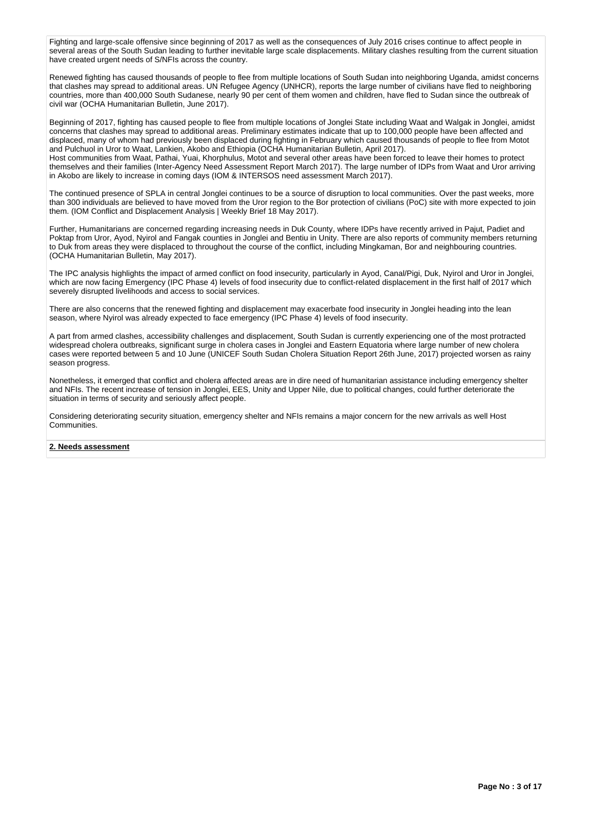Fighting and large-scale offensive since beginning of 2017 as well as the consequences of July 2016 crises continue to affect people in several areas of the South Sudan leading to further inevitable large scale displacements. Military clashes resulting from the current situation have created urgent needs of S/NFIs across the country.

Renewed fighting has caused thousands of people to flee from multiple locations of South Sudan into neighboring Uganda, amidst concerns that clashes may spread to additional areas. UN Refugee Agency (UNHCR), reports the large number of civilians have fled to neighboring countries, more than 400,000 South Sudanese, nearly 90 per cent of them women and children, have fled to Sudan since the outbreak of civil war (OCHA Humanitarian Bulletin, June 2017).

Beginning of 2017, fighting has caused people to flee from multiple locations of Jonglei State including Waat and Walgak in Jonglei, amidst concerns that clashes may spread to additional areas. Preliminary estimates indicate that up to 100,000 people have been affected and displaced, many of whom had previously been displaced during fighting in February which caused thousands of people to flee from Motot and Pulchuol in Uror to Waat, Lankien, Akobo and Ethiopia (OCHA Humanitarian Bulletin, April 2017).

Host communities from Waat, Pathai, Yuai, Khorphulus, Motot and several other areas have been forced to leave their homes to protect themselves and their families (Inter-Agency Need Assessment Report March 2017). The large number of IDPs from Waat and Uror arriving in Akobo are likely to increase in coming days (IOM & INTERSOS need assessment March 2017).

The continued presence of SPLA in central Jonglei continues to be a source of disruption to local communities. Over the past weeks, more than 300 individuals are believed to have moved from the Uror region to the Bor protection of civilians (PoC) site with more expected to join them. (IOM Conflict and Displacement Analysis | Weekly Brief 18 May 2017).

Further, Humanitarians are concerned regarding increasing needs in Duk County, where IDPs have recently arrived in Pajut, Padiet and Poktap from Uror, Ayod, Nyirol and Fangak counties in Jonglei and Bentiu in Unity. There are also reports of community members returning to Duk from areas they were displaced to throughout the course of the conflict, including Mingkaman, Bor and neighbouring countries. (OCHA Humanitarian Bulletin, May 2017).

The IPC analysis highlights the impact of armed conflict on food insecurity, particularly in Ayod, Canal/Pigi, Duk, Nyirol and Uror in Jonglei, which are now facing Emergency (IPC Phase 4) levels of food insecurity due to conflict-related displacement in the first half of 2017 which severely disrupted livelihoods and access to social services.

There are also concerns that the renewed fighting and displacement may exacerbate food insecurity in Jonglei heading into the lean season, where Nyirol was already expected to face emergency (IPC Phase 4) levels of food insecurity.

A part from armed clashes, accessibility challenges and displacement, South Sudan is currently experiencing one of the most protracted widespread cholera outbreaks, significant surge in cholera cases in Jonglei and Eastern Equatoria where large number of new cholera cases were reported between 5 and 10 June (UNICEF South Sudan Cholera Situation Report 26th June, 2017) projected worsen as rainy season progress.

Nonetheless, it emerged that conflict and cholera affected areas are in dire need of humanitarian assistance including emergency shelter and NFIs. The recent increase of tension in Jonglei, EES, Unity and Upper Nile, due to political changes, could further deteriorate the situation in terms of security and seriously affect people.

Considering deteriorating security situation, emergency shelter and NFIs remains a major concern for the new arrivals as well Host Communities.

#### **2. Needs assessment**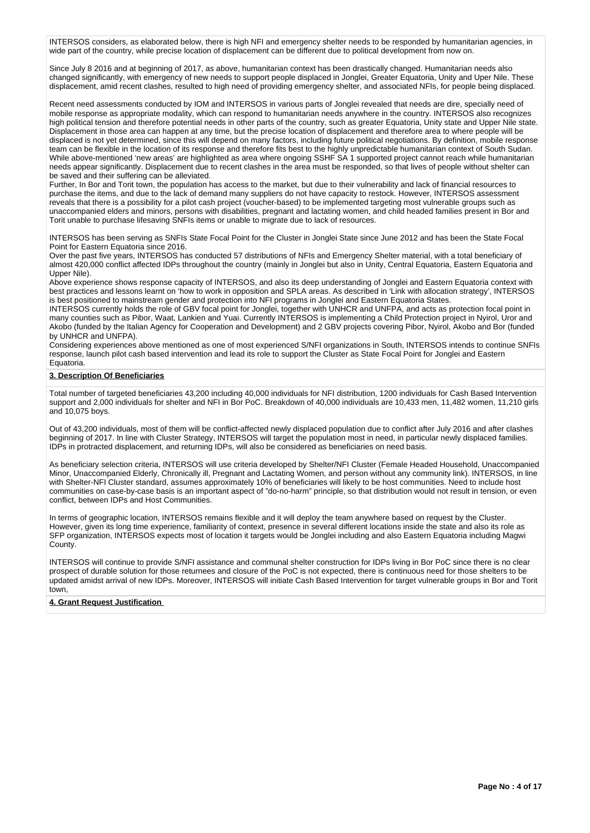INTERSOS considers, as elaborated below, there is high NFI and emergency shelter needs to be responded by humanitarian agencies, in wide part of the country, while precise location of displacement can be different due to political development from now on.

Since July 8 2016 and at beginning of 2017, as above, humanitarian context has been drastically changed. Humanitarian needs also changed significantly, with emergency of new needs to support people displaced in Jonglei, Greater Equatoria, Unity and Uper Nile. These displacement, amid recent clashes, resulted to high need of providing emergency shelter, and associated NFIs, for people being displaced.

Recent need assessments conducted by IOM and INTERSOS in various parts of Jonglei revealed that needs are dire, specially need of mobile response as appropriate modality, which can respond to humanitarian needs anywhere in the country. INTERSOS also recognizes high political tension and therefore potential needs in other parts of the country, such as greater Equatoria, Unity state and Upper Nile state. Displacement in those area can happen at any time, but the precise location of displacement and therefore area to where people will be displaced is not yet determined, since this will depend on many factors, including future political negotiations. By definition, mobile response team can be flexible in the location of its response and therefore fits best to the highly unpredictable humanitarian context of South Sudan. While above-mentioned 'new areas' are highlighted as area where ongoing SSHF SA 1 supported project cannot reach while humanitarian needs appear significantly. Displacement due to recent clashes in the area must be responded, so that lives of people without shelter can be saved and their suffering can be alleviated.

Further, In Bor and Torit town, the population has access to the market, but due to their vulnerability and lack of financial resources to purchase the items, and due to the lack of demand many suppliers do not have capacity to restock. However, INTERSOS assessment reveals that there is a possibility for a pilot cash project (voucher-based) to be implemented targeting most vulnerable groups such as unaccompanied elders and minors, persons with disabilities, pregnant and lactating women, and child headed families present in Bor and Torit unable to purchase lifesaving SNFIs items or unable to migrate due to lack of resources.

INTERSOS has been serving as SNFIs State Focal Point for the Cluster in Jonglei State since June 2012 and has been the State Focal Point for Eastern Equatoria since 2016.

Over the past five years, INTERSOS has conducted 57 distributions of NFIs and Emergency Shelter material, with a total beneficiary of almost 420,000 conflict affected IDPs throughout the country (mainly in Jonglei but also in Unity, Central Equatoria, Eastern Equatoria and Upper Nile).

Above experience shows response capacity of INTERSOS, and also its deep understanding of Jonglei and Eastern Equatoria context with best practices and lessons learnt on 'how to work in opposition and SPLA areas. As described in 'Link with allocation strategy', INTERSOS is best positioned to mainstream gender and protection into NFI programs in Jonglei and Eastern Equatoria States.

INTERSOS currently holds the role of GBV focal point for Jonglei, together with UNHCR and UNFPA, and acts as protection focal point in many counties such as Pibor, Waat, Lankien and Yuai. Currently INTERSOS is implementing a Child Protection project in Nyirol, Uror and Akobo (funded by the Italian Agency for Cooperation and Development) and 2 GBV projects covering Pibor, Nyirol, Akobo and Bor (funded by UNHCR and UNFPA).

Considering experiences above mentioned as one of most experienced S/NFI organizations in South, INTERSOS intends to continue SNFIs response, launch pilot cash based intervention and lead its role to support the Cluster as State Focal Point for Jonglei and Eastern Equatoria.

## **3. Description Of Beneficiaries**

Total number of targeted beneficiaries 43,200 including 40,000 individuals for NFI distribution, 1200 individuals for Cash Based Intervention support and 2,000 individuals for shelter and NFI in Bor PoC. Breakdown of 40,000 individuals are 10,433 men, 11,482 women, 11,210 girls and 10,075 boys.

Out of 43,200 individuals, most of them will be conflict-affected newly displaced population due to conflict after July 2016 and after clashes beginning of 2017. In line with Cluster Strategy, INTERSOS will target the population most in need, in particular newly displaced families. IDPs in protracted displacement, and returning IDPs, will also be considered as beneficiaries on need basis.

As beneficiary selection criteria, INTERSOS will use criteria developed by Shelter/NFI Cluster (Female Headed Household, Unaccompanied Minor, Unaccompanied Elderly, Chronically ill, Pregnant and Lactating Women, and person without any community link). INTERSOS, in line with Shelter-NFI Cluster standard, assumes approximately 10% of beneficiaries will likely to be host communities. Need to include host communities on case-by-case basis is an important aspect of "do-no-harm" principle, so that distribution would not result in tension, or even conflict, between IDPs and Host Communities.

In terms of geographic location, INTERSOS remains flexible and it will deploy the team anywhere based on request by the Cluster. However, given its long time experience, familiarity of context, presence in several different locations inside the state and also its role as SFP organization, INTERSOS expects most of location it targets would be Jonglei including and also Eastern Equatoria including Magwi County.

INTERSOS will continue to provide S/NFI assistance and communal shelter construction for IDPs living in Bor PoC since there is no clear prospect of durable solution for those returnees and closure of the PoC is not expected, there is continuous need for those shelters to be updated amidst arrival of new IDPs. Moreover, INTERSOS will initiate Cash Based Intervention for target vulnerable groups in Bor and Torit town,

#### **4. Grant Request Justification**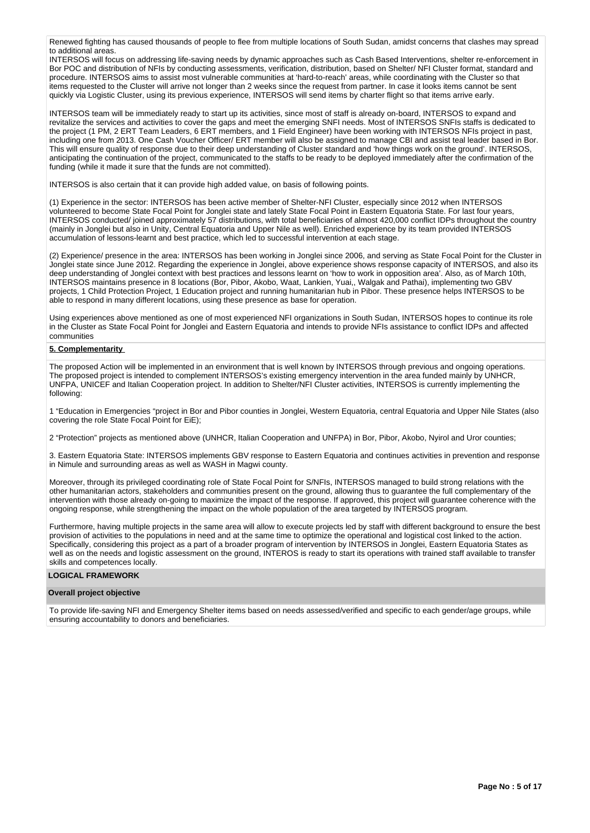Renewed fighting has caused thousands of people to flee from multiple locations of South Sudan, amidst concerns that clashes may spread to additional areas.

INTERSOS will focus on addressing life-saving needs by dynamic approaches such as Cash Based Interventions, shelter re-enforcement in Bor POC and distribution of NFIs by conducting assessments, verification, distribution, based on Shelter/ NFI Cluster format, standard and procedure. INTERSOS aims to assist most vulnerable communities at 'hard-to-reach' areas, while coordinating with the Cluster so that items requested to the Cluster will arrive not longer than 2 weeks since the request from partner. In case it looks items cannot be sent quickly via Logistic Cluster, using its previous experience, INTERSOS will send items by charter flight so that items arrive early.

INTERSOS team will be immediately ready to start up its activities, since most of staff is already on-board, INTERSOS to expand and revitalize the services and activities to cover the gaps and meet the emerging SNFI needs. Most of INTERSOS SNFIs staffs is dedicated to the project (1 PM, 2 ERT Team Leaders, 6 ERT members, and 1 Field Engineer) have been working with INTERSOS NFIs project in past, including one from 2013. One Cash Voucher Officer/ ERT member will also be assigned to manage CBI and assist teal leader based in Bor. This will ensure quality of response due to their deep understanding of Cluster standard and 'how things work on the ground'. INTERSOS, anticipating the continuation of the project, communicated to the staffs to be ready to be deployed immediately after the confirmation of the funding (while it made it sure that the funds are not committed).

INTERSOS is also certain that it can provide high added value, on basis of following points.

(1) Experience in the sector: INTERSOS has been active member of Shelter-NFI Cluster, especially since 2012 when INTERSOS volunteered to become State Focal Point for Jonglei state and lately State Focal Point in Eastern Equatoria State. For last four years, INTERSOS conducted/ joined approximately 57 distributions, with total beneficiaries of almost 420,000 conflict IDPs throughout the country (mainly in Jonglei but also in Unity, Central Equatoria and Upper Nile as well). Enriched experience by its team provided INTERSOS accumulation of lessons-learnt and best practice, which led to successful intervention at each stage.

(2) Experience/ presence in the area: INTERSOS has been working in Jonglei since 2006, and serving as State Focal Point for the Cluster in Jonglei state since June 2012. Regarding the experience in Jonglei, above experience shows response capacity of INTERSOS, and also its deep understanding of Jonglei context with best practices and lessons learnt on 'how to work in opposition area'. Also, as of March 10th, INTERSOS maintains presence in 8 locations (Bor, Pibor, Akobo, Waat, Lankien, Yuai,, Walgak and Pathai), implementing two GBV projects, 1 Child Protection Project, 1 Education project and running humanitarian hub in Pibor. These presence helps INTERSOS to be able to respond in many different locations, using these presence as base for operation.

Using experiences above mentioned as one of most experienced NFI organizations in South Sudan, INTERSOS hopes to continue its role in the Cluster as State Focal Point for Jonglei and Eastern Equatoria and intends to provide NFIs assistance to conflict IDPs and affected communities

### **5. Complementarity**

The proposed Action will be implemented in an environment that is well known by INTERSOS through previous and ongoing operations. The proposed project is intended to complement INTERSOS's existing emergency intervention in the area funded mainly by UNHCR, UNFPA, UNICEF and Italian Cooperation project. In addition to Shelter/NFI Cluster activities, INTERSOS is currently implementing the following:

1 "Education in Emergencies "project in Bor and Pibor counties in Jonglei, Western Equatoria, central Equatoria and Upper Nile States (also covering the role State Focal Point for EiE);

2 "Protection" projects as mentioned above (UNHCR, Italian Cooperation and UNFPA) in Bor, Pibor, Akobo, Nyirol and Uror counties;

3. Eastern Equatoria State: INTERSOS implements GBV response to Eastern Equatoria and continues activities in prevention and response in Nimule and surrounding areas as well as WASH in Magwi county.

Moreover, through its privileged coordinating role of State Focal Point for S/NFIs, INTERSOS managed to build strong relations with the other humanitarian actors, stakeholders and communities present on the ground, allowing thus to guarantee the full complementary of the intervention with those already on-going to maximize the impact of the response. If approved, this project will guarantee coherence with the ongoing response, while strengthening the impact on the whole population of the area targeted by INTERSOS program.

Furthermore, having multiple projects in the same area will allow to execute projects led by staff with different background to ensure the best provision of activities to the populations in need and at the same time to optimize the operational and logistical cost linked to the action. Specifically, considering this project as a part of a broader program of intervention by INTERSOS in Jonglei, Eastern Equatoria States as well as on the needs and logistic assessment on the ground, INTEROS is ready to start its operations with trained staff available to transfer skills and competences locally.

# **LOGICAL FRAMEWORK**

#### **Overall project objective**

To provide life-saving NFI and Emergency Shelter items based on needs assessed/verified and specific to each gender/age groups, while ensuring accountability to donors and beneficiaries.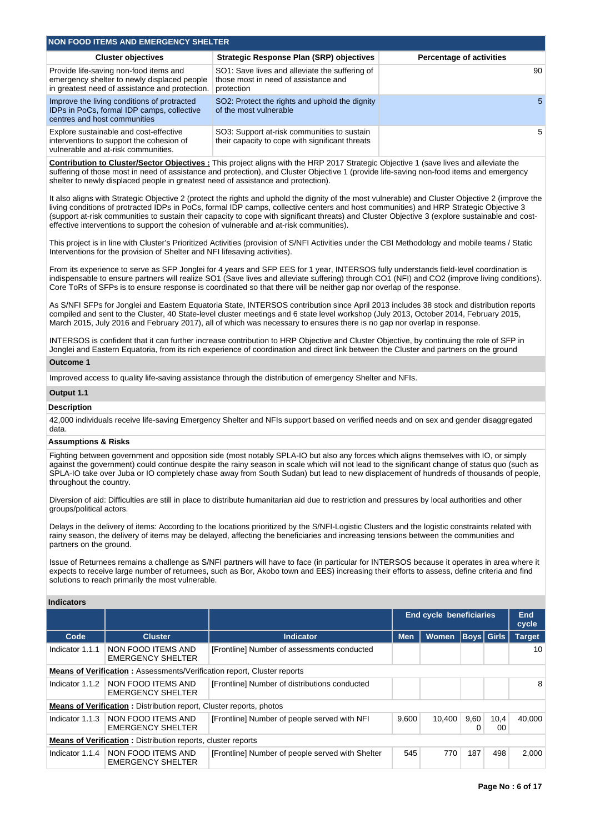| NON FOOD ITEMS AND EMERGENCY SHELTER                                                                                                    |                                                                                                      |                                 |  |  |  |  |  |  |  |
|-----------------------------------------------------------------------------------------------------------------------------------------|------------------------------------------------------------------------------------------------------|---------------------------------|--|--|--|--|--|--|--|
| <b>Cluster objectives</b>                                                                                                               | Strategic Response Plan (SRP) objectives                                                             | <b>Percentage of activities</b> |  |  |  |  |  |  |  |
| Provide life-saving non-food items and<br>emergency shelter to newly displaced people<br>in greatest need of assistance and protection. | SO1: Save lives and alleviate the suffering of<br>those most in need of assistance and<br>protection | 90                              |  |  |  |  |  |  |  |
| Improve the living conditions of protracted<br>IDPs in PoCs, formal IDP camps, collective<br>centres and host communities               | SO2: Protect the rights and uphold the dignity<br>of the most vulnerable                             | -5                              |  |  |  |  |  |  |  |
| Explore sustainable and cost-effective<br>interventions to support the cohesion of<br>vulnerable and at-risk communities.               | SO3: Support at-risk communities to sustain<br>their capacity to cope with significant threats       | 5                               |  |  |  |  |  |  |  |

**Contribution to Cluster/Sector Objectives :** This project aligns with the HRP 2017 Strategic Objective 1 (save lives and alleviate the suffering of those most in need of assistance and protection), and Cluster Objective 1 (provide life-saving non-food items and emergency shelter to newly displaced people in greatest need of assistance and protection).

It also aligns with Strategic Objective 2 (protect the rights and uphold the dignity of the most vulnerable) and Cluster Objective 2 (improve the living conditions of protracted IDPs in PoCs, formal IDP camps, collective centers and host communities) and HRP Strategic Objective 3 (support at-risk communities to sustain their capacity to cope with significant threats) and Cluster Objective 3 (explore sustainable and costeffective interventions to support the cohesion of vulnerable and at-risk communities).

This project is in line with Cluster's Prioritized Activities (provision of S/NFI Activities under the CBI Methodology and mobile teams / Static Interventions for the provision of Shelter and NFI lifesaving activities).

From its experience to serve as SFP Jonglei for 4 years and SFP EES for 1 year, INTERSOS fully understands field-level coordination is indispensable to ensure partners will realize SO1 (Save lives and alleviate suffering) through CO1 (NFI) and CO2 (improve living conditions). Core ToRs of SFPs is to ensure response is coordinated so that there will be neither gap nor overlap of the response.

As S/NFI SFPs for Jonglei and Eastern Equatoria State, INTERSOS contribution since April 2013 includes 38 stock and distribution reports compiled and sent to the Cluster, 40 State-level cluster meetings and 6 state level workshop (July 2013, October 2014, February 2015, March 2015, July 2016 and February 2017), all of which was necessary to ensures there is no gap nor overlap in response.

INTERSOS is confident that it can further increase contribution to HRP Objective and Cluster Objective, by continuing the role of SFP in Jonglei and Eastern Equatoria, from its rich experience of coordination and direct link between the Cluster and partners on the ground

#### **Outcome 1**

Improved access to quality life-saving assistance through the distribution of emergency Shelter and NFIs.

#### **Output 1.1**

#### **Description**

42,000 individuals receive life-saving Emergency Shelter and NFIs support based on verified needs and on sex and gender disaggregated data.

# **Assumptions & Risks**

Fighting between government and opposition side (most notably SPLA-IO but also any forces which aligns themselves with IO, or simply against the government) could continue despite the rainy season in scale which will not lead to the significant change of status quo (such as SPLA-IO take over Juba or IO completely chase away from South Sudan) but lead to new displacement of hundreds of thousands of people, throughout the country.

Diversion of aid: Difficulties are still in place to distribute humanitarian aid due to restriction and pressures by local authorities and other groups/political actors.

Delays in the delivery of items: According to the locations prioritized by the S/NFI-Logistic Clusters and the logistic constraints related with rainy season, the delivery of items may be delayed, affecting the beneficiaries and increasing tensions between the communities and partners on the ground.

Issue of Returnees remains a challenge as S/NFI partners will have to face (in particular for INTERSOS because it operates in area where it expects to receive large number of returnees, such as Bor, Akobo town and EES) increasing their efforts to assess, define criteria and find solutions to reach primarily the most vulnerable.

#### **Indicators**

|                                                                                |                                                                            |                                                  | <b>End cycle beneficiaries</b> |              |           | <b>End</b><br>cycle |               |  |  |
|--------------------------------------------------------------------------------|----------------------------------------------------------------------------|--------------------------------------------------|--------------------------------|--------------|-----------|---------------------|---------------|--|--|
| Code                                                                           | <b>Cluster</b>                                                             | <b>Indicator</b>                                 | <b>Men</b>                     | <b>Women</b> |           | <b>Boys</b> Girls   | <b>Target</b> |  |  |
| Indicator 1.1.1                                                                | NON FOOD ITEMS AND<br><b>EMERGENCY SHELTER</b>                             | [Frontline] Number of assessments conducted      |                                |              |           |                     | 10            |  |  |
| <b>Means of Verification: Assessments/Verification report, Cluster reports</b> |                                                                            |                                                  |                                |              |           |                     |               |  |  |
| Indicator 1.1.2                                                                | NON FOOD ITEMS AND<br><b>EMERGENCY SHELTER</b>                             | [Frontline] Number of distributions conducted    |                                |              |           |                     | 8             |  |  |
|                                                                                | <b>Means of Verification:</b> Distribution report, Cluster reports, photos |                                                  |                                |              |           |                     |               |  |  |
| Indicator 1.1.3                                                                | NON FOOD ITEMS AND<br><b>EMERGENCY SHELTER</b>                             | [Frontline] Number of people served with NFI     | 9.600                          | 10.400       | 9,60<br>0 | 10,4<br>00          | 40.000        |  |  |
| <b>Means of Verification:</b> Distribution reports, cluster reports            |                                                                            |                                                  |                                |              |           |                     |               |  |  |
| Indicator 1.1.4                                                                | NON FOOD ITEMS AND<br><b>EMERGENCY SHELTER</b>                             | [Frontline] Number of people served with Shelter | 545                            | 770          | 187       | 498                 | 2,000         |  |  |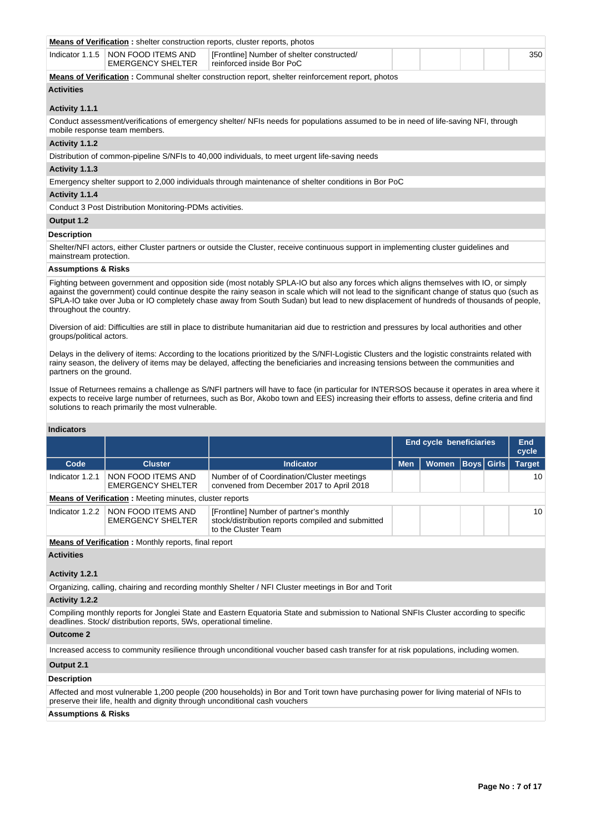|                                                                                                                                                                                                                                                                                                                                                                                                                                                           | <b>Means of Verification:</b> shelter construction reports, cluster reports, photos                                                                                                                                                                                                     |                                                                         |  |  |  |  |  |     |  |  |
|-----------------------------------------------------------------------------------------------------------------------------------------------------------------------------------------------------------------------------------------------------------------------------------------------------------------------------------------------------------------------------------------------------------------------------------------------------------|-----------------------------------------------------------------------------------------------------------------------------------------------------------------------------------------------------------------------------------------------------------------------------------------|-------------------------------------------------------------------------|--|--|--|--|--|-----|--|--|
|                                                                                                                                                                                                                                                                                                                                                                                                                                                           | Indicator 1.1.5   NON FOOD ITEMS AND<br><b>EMERGENCY SHELTER</b>                                                                                                                                                                                                                        | [Frontline] Number of shelter constructed/<br>reinforced inside Bor PoC |  |  |  |  |  | 350 |  |  |
| <b>Means of Verification:</b> Communal shelter construction report, shelter reinforcement report, photos                                                                                                                                                                                                                                                                                                                                                  |                                                                                                                                                                                                                                                                                         |                                                                         |  |  |  |  |  |     |  |  |
| <b>Activities</b>                                                                                                                                                                                                                                                                                                                                                                                                                                         |                                                                                                                                                                                                                                                                                         |                                                                         |  |  |  |  |  |     |  |  |
| Activity 1.1.1                                                                                                                                                                                                                                                                                                                                                                                                                                            |                                                                                                                                                                                                                                                                                         |                                                                         |  |  |  |  |  |     |  |  |
|                                                                                                                                                                                                                                                                                                                                                                                                                                                           | Conduct assessment/verifications of emergency shelter/NFIs needs for populations assumed to be in need of life-saving NFI, through<br>mobile response team members.                                                                                                                     |                                                                         |  |  |  |  |  |     |  |  |
| Activity 1.1.2                                                                                                                                                                                                                                                                                                                                                                                                                                            |                                                                                                                                                                                                                                                                                         |                                                                         |  |  |  |  |  |     |  |  |
|                                                                                                                                                                                                                                                                                                                                                                                                                                                           | Distribution of common-pipeline S/NFIs to 40,000 individuals, to meet urgent life-saving needs                                                                                                                                                                                          |                                                                         |  |  |  |  |  |     |  |  |
| Activity 1.1.3                                                                                                                                                                                                                                                                                                                                                                                                                                            |                                                                                                                                                                                                                                                                                         |                                                                         |  |  |  |  |  |     |  |  |
| Emergency shelter support to 2,000 individuals through maintenance of shelter conditions in Bor PoC                                                                                                                                                                                                                                                                                                                                                       |                                                                                                                                                                                                                                                                                         |                                                                         |  |  |  |  |  |     |  |  |
| Activity 1.1.4                                                                                                                                                                                                                                                                                                                                                                                                                                            |                                                                                                                                                                                                                                                                                         |                                                                         |  |  |  |  |  |     |  |  |
|                                                                                                                                                                                                                                                                                                                                                                                                                                                           | Conduct 3 Post Distribution Monitoring-PDMs activities.                                                                                                                                                                                                                                 |                                                                         |  |  |  |  |  |     |  |  |
| Output 1.2                                                                                                                                                                                                                                                                                                                                                                                                                                                |                                                                                                                                                                                                                                                                                         |                                                                         |  |  |  |  |  |     |  |  |
| <b>Description</b>                                                                                                                                                                                                                                                                                                                                                                                                                                        |                                                                                                                                                                                                                                                                                         |                                                                         |  |  |  |  |  |     |  |  |
| mainstream protection.                                                                                                                                                                                                                                                                                                                                                                                                                                    | Shelter/NFI actors, either Cluster partners or outside the Cluster, receive continuous support in implementing cluster guidelines and                                                                                                                                                   |                                                                         |  |  |  |  |  |     |  |  |
| <b>Assumptions &amp; Risks</b>                                                                                                                                                                                                                                                                                                                                                                                                                            |                                                                                                                                                                                                                                                                                         |                                                                         |  |  |  |  |  |     |  |  |
| Fighting between government and opposition side (most notably SPLA-IO but also any forces which aligns themselves with IO, or simply<br>against the government) could continue despite the rainy season in scale which will not lead to the significant change of status quo (such as<br>SPLA-IO take over Juba or IO completely chase away from South Sudan) but lead to new displacement of hundreds of thousands of people,<br>throughout the country. |                                                                                                                                                                                                                                                                                         |                                                                         |  |  |  |  |  |     |  |  |
| Diversion of aid: Difficulties are still in place to distribute humanitarian aid due to restriction and pressures by local authorities and other<br>groups/political actors.                                                                                                                                                                                                                                                                              |                                                                                                                                                                                                                                                                                         |                                                                         |  |  |  |  |  |     |  |  |
|                                                                                                                                                                                                                                                                                                                                                                                                                                                           | Delays in the delivery of items: According to the locations prioritized by the S/NFI-Logistic Clusters and the logistic constraints related with<br>rainy season, the delivery of items may be delayed, affecting the beneficiaries and increasing tensions between the communities and |                                                                         |  |  |  |  |  |     |  |  |

partners on the ground. Issue of Returnees remains a challenge as S/NFI partners will have to face (in particular for INTERSOS because it operates in area where it expects to receive large number of returnees, such as Bor, Akobo town and EES) increasing their efforts to assess, define criteria and find

solutions to reach primarily the most vulnerable.

| <b>Indicators</b>                                           |                                                                |                                                                                                                     |            |                                |  |                   |               |  |
|-------------------------------------------------------------|----------------------------------------------------------------|---------------------------------------------------------------------------------------------------------------------|------------|--------------------------------|--|-------------------|---------------|--|
|                                                             |                                                                |                                                                                                                     |            | <b>End cycle beneficiaries</b> |  |                   | End<br>cycle  |  |
| Code                                                        | <b>Cluster</b>                                                 | <b>Indicator</b>                                                                                                    | <b>Men</b> | <b>Women</b>                   |  | <b>Boys</b> Girls | <b>Target</b> |  |
| Indicator 1.2.1                                             | NON FOOD ITEMS AND<br><b>EMERGENCY SHELTER</b>                 | Number of of Coordination/Cluster meetings<br>convened from December 2017 to April 2018                             |            |                                |  |                   | 10            |  |
|                                                             | <b>Means of Verification:</b> Meeting minutes, cluster reports |                                                                                                                     |            |                                |  |                   |               |  |
| Indicator 1.2.2                                             | NON FOOD ITEMS AND<br><b>EMERGENCY SHELTER</b>                 | [Frontline] Number of partner's monthly<br>stock/distribution reports compiled and submitted<br>to the Cluster Team |            |                                |  |                   | 10            |  |
| <b>Means of Verification:</b> Monthly reports, final report |                                                                |                                                                                                                     |            |                                |  |                   |               |  |
| <b>Activities</b>                                           |                                                                |                                                                                                                     |            |                                |  |                   |               |  |

## **Activity 1.2.1**

Organizing, calling, chairing and recording monthly Shelter / NFI Cluster meetings in Bor and Torit

# **Activity 1.2.2**

Compiling monthly reports for Jonglei State and Eastern Equatoria State and submission to National SNFIs Cluster according to specific deadlines. Stock/ distribution reports, 5Ws, operational timeline.

# **Outcome 2**

Increased access to community resilience through unconditional voucher based cash transfer for at risk populations, including women.

# **Output 2.1**

## **Description**

Affected and most vulnerable 1,200 people (200 households) in Bor and Torit town have purchasing power for living material of NFIs to preserve their life, health and dignity through unconditional cash vouchers

### **Assumptions & Risks**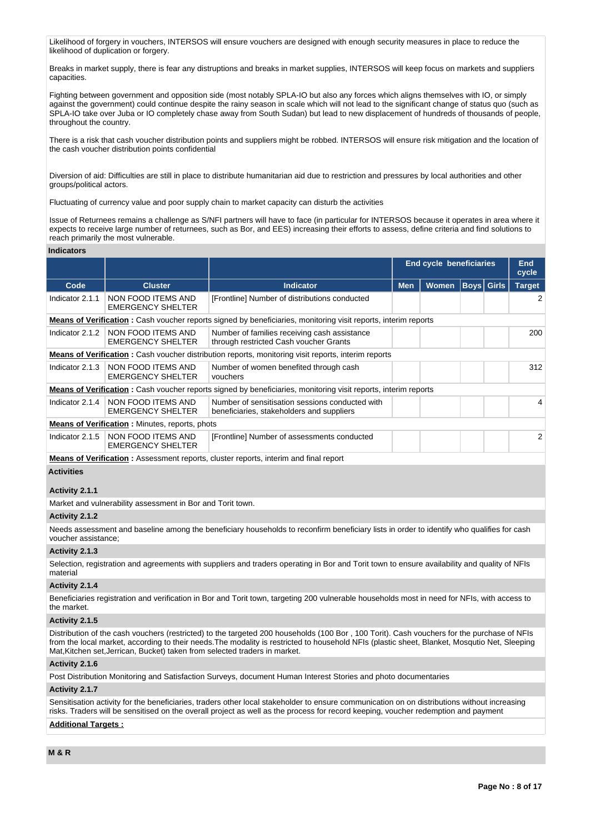Likelihood of forgery in vouchers, INTERSOS will ensure vouchers are designed with enough security measures in place to reduce the likelihood of duplication or forgery.

Breaks in market supply, there is fear any distruptions and breaks in market supplies, INTERSOS will keep focus on markets and suppliers capacities.

Fighting between government and opposition side (most notably SPLA-IO but also any forces which aligns themselves with IO, or simply against the government) could continue despite the rainy season in scale which will not lead to the significant change of status quo (such as SPLA-IO take over Juba or IO completely chase away from South Sudan) but lead to new displacement of hundreds of thousands of people, throughout the country.

There is a risk that cash voucher distribution points and suppliers might be robbed. INTERSOS will ensure risk mitigation and the location of the cash voucher distribution points confidential

Diversion of aid: Difficulties are still in place to distribute humanitarian aid due to restriction and pressures by local authorities and other groups/political actors.

Fluctuating of currency value and poor supply chain to market capacity can disturb the activities

Issue of Returnees remains a challenge as S/NFI partners will have to face (in particular for INTERSOS because it operates in area where it expects to receive large number of returnees, such as Bor, and EES) increasing their efforts to assess, define criteria and find solutions to reach primarily the most vulnerable.

#### **Indicators**

|                                                                                                                        |                                                                  |                                                                                                                        | End cycle beneficiaries |       |  | <b>End</b><br>cycle |               |  |
|------------------------------------------------------------------------------------------------------------------------|------------------------------------------------------------------|------------------------------------------------------------------------------------------------------------------------|-------------------------|-------|--|---------------------|---------------|--|
| Code                                                                                                                   | <b>Cluster</b>                                                   | <b>Indicator</b>                                                                                                       | <b>Men</b>              | Women |  | <b>Boys</b> Girls   | <b>Target</b> |  |
| Indicator 2.1.1                                                                                                        | NON FOOD ITEMS AND<br><b>EMERGENCY SHELTER</b>                   | [Frontline] Number of distributions conducted                                                                          |                         |       |  |                     | 2             |  |
| <b>Means of Verification</b> : Cash voucher reports signed by beneficiaries, monitoring visit reports, interim reports |                                                                  |                                                                                                                        |                         |       |  |                     |               |  |
| Indicator 2.1.2                                                                                                        | <b>NON FOOD ITEMS AND</b><br><b>EMERGENCY SHELTER</b>            | Number of families receiving cash assistance<br>through restricted Cash voucher Grants                                 |                         |       |  |                     | 200           |  |
| <b>Means of Verification</b> : Cash voucher distribution reports, monitoring visit reports, interim reports            |                                                                  |                                                                                                                        |                         |       |  |                     |               |  |
| Indicator 2.1.3                                                                                                        | <b>NON FOOD ITEMS AND</b><br><b>EMERGENCY SHELTER</b>            | Number of women benefited through cash<br>vouchers                                                                     |                         |       |  |                     | 312           |  |
|                                                                                                                        |                                                                  | <b>Means of Verification</b> : Cash voucher reports signed by beneficiaries, monitoring visit reports, interim reports |                         |       |  |                     |               |  |
|                                                                                                                        | Indicator 2.1.4   NON FOOD ITEMS AND<br><b>EMERGENCY SHELTER</b> | Number of sensitisation sessions conducted with<br>beneficiaries, stakeholders and suppliers                           |                         |       |  |                     | 4             |  |
|                                                                                                                        | <b>Means of Verification:</b> Minutes, reports, phots            |                                                                                                                        |                         |       |  |                     |               |  |
| Indicator 2.1.5                                                                                                        | NON FOOD ITEMS AND<br><b>EMERGENCY SHELTER</b>                   | [Frontline] Number of assessments conducted                                                                            |                         |       |  |                     | 2             |  |
|                                                                                                                        |                                                                  | <b>Means of Verification:</b> Assessment reports, cluster reports, interim and final report                            |                         |       |  |                     |               |  |

#### **Activities**

### **Activity 2.1.1**

Market and vulnerability assessment in Bor and Torit town.

# **Activity 2.1.2**

Needs assessment and baseline among the beneficiary households to reconfirm beneficiary lists in order to identify who qualifies for cash voucher assistance;

#### **Activity 2.1.3**

Selection, registration and agreements with suppliers and traders operating in Bor and Torit town to ensure availability and quality of NFIs material

# **Activity 2.1.4**

Beneficiaries registration and verification in Bor and Torit town, targeting 200 vulnerable households most in need for NFIs, with access to the market.

#### **Activity 2.1.5**

Distribution of the cash vouchers (restricted) to the targeted 200 households (100 Bor , 100 Torit). Cash vouchers for the purchase of NFIs from the local market, according to their needs.The modality is restricted to household NFIs (plastic sheet, Blanket, Mosqutio Net, Sleeping Mat,Kitchen set,Jerrican, Bucket) taken from selected traders in market.

# **Activity 2.1.6**

Post Distribution Monitoring and Satisfaction Surveys, document Human Interest Stories and photo documentaries

# **Activity 2.1.7**

Sensitisation activity for the beneficiaries, traders other local stakeholder to ensure communication on on distributions without increasing risks. Traders will be sensitised on the overall project as well as the process for record keeping, voucher redemption and payment

# **Additional Targets :**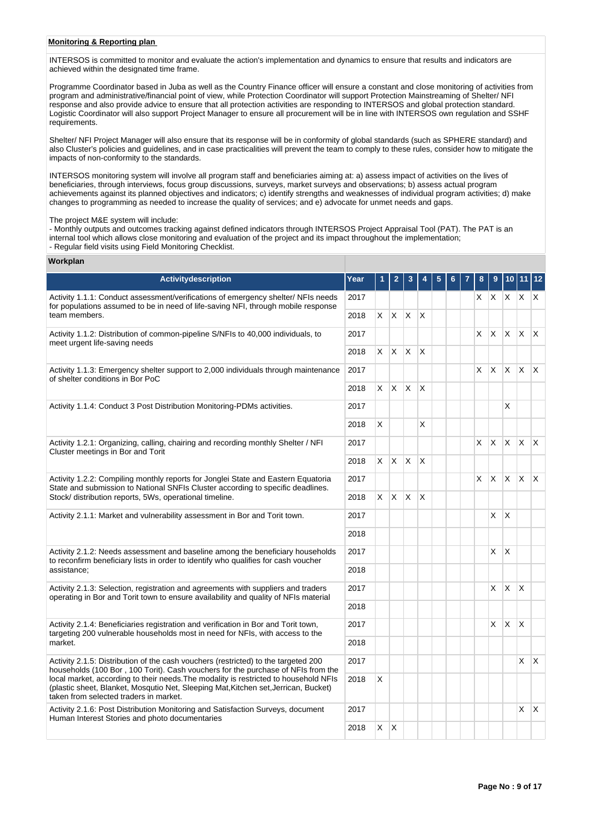# **Monitoring & Reporting plan**

INTERSOS is committed to monitor and evaluate the action's implementation and dynamics to ensure that results and indicators are achieved within the designated time frame.

Programme Coordinator based in Juba as well as the Country Finance officer will ensure a constant and close monitoring of activities from program and administrative/financial point of view, while Protection Coordinator will support Protection Mainstreaming of Shelter/ NFI response and also provide advice to ensure that all protection activities are responding to INTERSOS and global protection standard. Logistic Coordinator will also support Project Manager to ensure all procurement will be in line with INTERSOS own regulation and SSHF requirements.

Shelter/ NFI Project Manager will also ensure that its response will be in conformity of global standards (such as SPHERE standard) and also Cluster's policies and guidelines, and in case practicalities will prevent the team to comply to these rules, consider how to mitigate the impacts of non-conformity to the standards.

INTERSOS monitoring system will involve all program staff and beneficiaries aiming at: a) assess impact of activities on the lives of beneficiaries, through interviews, focus group discussions, surveys, market surveys and observations; b) assess actual program achievements against its planned objectives and indicators; c) identify strengths and weaknesses of individual program activities; d) make changes to programming as needed to increase the quality of services; and e) advocate for unmet needs and gaps.

The project M&E system will include:

- Monthly outputs and outcomes tracking against defined indicators through INTERSOS Project Appraisal Tool (PAT). The PAT is an internal tool which allows close monitoring and evaluation of the project and its impact throughout the implementation; - Regular field visits using Field Monitoring Checklist.

#### **Workplan**

| <b>Activitydescription</b>                                                                                                                                                                                                      | Year |          | 2                 | 3               |              |  |    |    |              |              |              |
|---------------------------------------------------------------------------------------------------------------------------------------------------------------------------------------------------------------------------------|------|----------|-------------------|-----------------|--------------|--|----|----|--------------|--------------|--------------|
| Activity 1.1.1: Conduct assessment/verifications of emergency shelter/ NFIs needs<br>for populations assumed to be in need of life-saving NFI, through mobile response                                                          | 2017 |          |                   |                 |              |  |    | XX |              | $X$ $X$ $X$  |              |
| team members.                                                                                                                                                                                                                   | 2018 | X.       | $\mathsf{X}$      | X               | ΙX.          |  |    |    |              |              |              |
| Activity 1.1.2: Distribution of common-pipeline S/NFIs to 40,000 individuals, to<br>meet urgent life-saving needs                                                                                                               | 2017 |          |                   |                 |              |  | X. | X  | <b>X</b>     | $\mathsf{X}$ | $\mathbf{x}$ |
|                                                                                                                                                                                                                                 | 2018 |          |                   | $X$ $X$ $X$ $X$ |              |  |    |    |              |              |              |
| Activity 1.1.3: Emergency shelter support to 2,000 individuals through maintenance<br>of shelter conditions in Bor PoC                                                                                                          | 2017 |          |                   |                 |              |  | X  | X  | <b>X</b>     | ΙX.          | $\mathsf{X}$ |
|                                                                                                                                                                                                                                 | 2018 | $\times$ | IX.               | $\mathsf{X}$    | $\mathsf{X}$ |  |    |    |              |              |              |
| Activity 1.1.4: Conduct 3 Post Distribution Monitoring-PDMs activities.                                                                                                                                                         | 2017 |          |                   |                 |              |  |    |    | X            |              |              |
|                                                                                                                                                                                                                                 | 2018 | X        |                   |                 | X            |  |    |    |              |              |              |
| Activity 1.2.1: Organizing, calling, chairing and recording monthly Shelter / NFI<br>Cluster meetings in Bor and Torit                                                                                                          | 2017 |          |                   |                 |              |  | X. | X. | $\mathsf{X}$ | $\mathsf{X}$ | $\mathsf{X}$ |
|                                                                                                                                                                                                                                 | 2018 | X.       | IX.               | X.              | <sup>X</sup> |  |    |    |              |              |              |
| Activity 1.2.2: Compiling monthly reports for Jonglei State and Eastern Equatoria<br>State and submission to National SNFIs Cluster according to specific deadlines.<br>Stock/ distribution reports, 5Ws, operational timeline. | 2017 |          |                   |                 |              |  | X. | X. | X.           | $\mathsf{X}$ | $\mathsf{X}$ |
|                                                                                                                                                                                                                                 | 2018 |          | $x \mid x \mid x$ |                 | $\mathsf{X}$ |  |    |    |              |              |              |
| Activity 2.1.1: Market and vulnerability assessment in Bor and Torit town.                                                                                                                                                      |      |          |                   |                 |              |  |    | X  | X            |              |              |
|                                                                                                                                                                                                                                 | 2018 |          |                   |                 |              |  |    |    |              |              |              |
| Activity 2.1.2: Needs assessment and baseline among the beneficiary households<br>to reconfirm beneficiary lists in order to identify who qualifies for cash voucher                                                            | 2017 |          |                   |                 |              |  |    | X  | $\mathsf{X}$ |              |              |
| assistance;                                                                                                                                                                                                                     | 2018 |          |                   |                 |              |  |    |    |              |              |              |
| Activity 2.1.3: Selection, registration and agreements with suppliers and traders<br>operating in Bor and Torit town to ensure availability and quality of NFIs material                                                        | 2017 |          |                   |                 |              |  |    | X  | <b>X</b>     | $\mathsf{X}$ |              |
|                                                                                                                                                                                                                                 | 2018 |          |                   |                 |              |  |    |    |              |              |              |
| Activity 2.1.4: Beneficiaries registration and verification in Bor and Torit town,<br>targeting 200 vulnerable households most in need for NFIs, with access to the                                                             | 2017 |          |                   |                 |              |  |    | X  | X            | X            |              |
| market.                                                                                                                                                                                                                         | 2018 |          |                   |                 |              |  |    |    |              |              |              |
| Activity 2.1.5: Distribution of the cash vouchers (restricted) to the targeted 200<br>households (100 Bor, 100 Torit). Cash vouchers for the purchase of NFIs from the                                                          | 2017 |          |                   |                 |              |  |    |    |              | $\times$     | $\mathsf{X}$ |
| local market, according to their needs. The modality is restricted to household NFIs<br>(plastic sheet, Blanket, Mosqutio Net, Sleeping Mat, Kitchen set, Jerrican, Bucket)<br>taken from selected traders in market.           |      | X        |                   |                 |              |  |    |    |              |              |              |
| Activity 2.1.6: Post Distribution Monitoring and Satisfaction Surveys, document<br>Human Interest Stories and photo documentaries                                                                                               | 2017 |          |                   |                 |              |  |    |    |              | X            | $\mathsf{X}$ |
|                                                                                                                                                                                                                                 | 2018 | $\times$ | $\mathsf{X}$      |                 |              |  |    |    |              |              |              |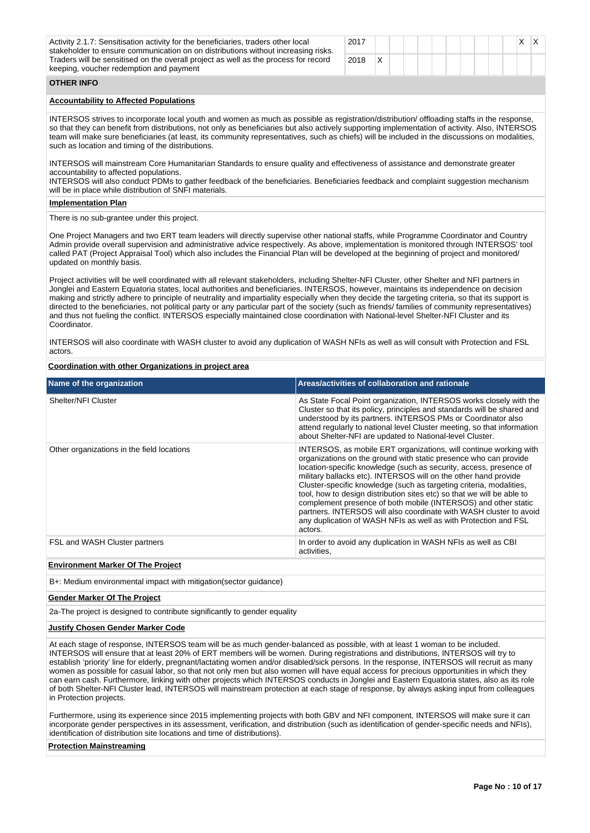| Activity 2.1.7: Sensitisation activity for the beneficiaries, traders other local<br>stakeholder to ensure communication on on distributions without increasing risks.<br>Traders will be sensitised on the overall project as well as the process for record<br>keeping, voucher redemption and payment                                                                                                                                                                                            | 2017 |   |  |  |  |  |  | X. | IX. |  |
|-----------------------------------------------------------------------------------------------------------------------------------------------------------------------------------------------------------------------------------------------------------------------------------------------------------------------------------------------------------------------------------------------------------------------------------------------------------------------------------------------------|------|---|--|--|--|--|--|----|-----|--|
|                                                                                                                                                                                                                                                                                                                                                                                                                                                                                                     | 2018 | X |  |  |  |  |  |    |     |  |
| <b>OTHER INFO</b>                                                                                                                                                                                                                                                                                                                                                                                                                                                                                   |      |   |  |  |  |  |  |    |     |  |
| <b>Accountability to Affected Populations</b>                                                                                                                                                                                                                                                                                                                                                                                                                                                       |      |   |  |  |  |  |  |    |     |  |
| INTERSOS strives to incorporate local youth and women as much as possible as registration/distribution/ offloading staffs in the response,<br>so that they can benefit from distributions, not only as beneficiaries but also actively supporting implementation of activity. Also, INTERSOS<br>team will make sure beneficiaries (at least, its community representatives, such as chiefs) will be included in the discussions on modalities,<br>such as location and timing of the distributions. |      |   |  |  |  |  |  |    |     |  |
| INTERSOS will mainstream Core Humanitarian Standards to ensure quality and effectiveness of assistance and demonstrate greater<br>accountability to affected populations.                                                                                                                                                                                                                                                                                                                           |      |   |  |  |  |  |  |    |     |  |
| INTERSOS will also conduct PDMs to gather feedback of the beneficiaries. Beneficiaries feedback and complaint suggestion mechanism<br>will be in place while distribution of SNFI materials.                                                                                                                                                                                                                                                                                                        |      |   |  |  |  |  |  |    |     |  |
| <b>Implementation Plan</b>                                                                                                                                                                                                                                                                                                                                                                                                                                                                          |      |   |  |  |  |  |  |    |     |  |
| There is no sub-grantee under this project.                                                                                                                                                                                                                                                                                                                                                                                                                                                         |      |   |  |  |  |  |  |    |     |  |

One Project Managers and two ERT team leaders will directly supervise other national staffs, while Programme Coordinator and Country Admin provide overall supervision and administrative advice respectively. As above, implementation is monitored through INTERSOS' tool called PAT (Project Appraisal Tool) which also includes the Financial Plan will be developed at the beginning of project and monitored/ updated on monthly basis.

Project activities will be well coordinated with all relevant stakeholders, including Shelter-NFI Cluster, other Shelter and NFI partners in Jonglei and Eastern Equatoria states, local authorities and beneficiaries. INTERSOS, however, maintains its independence on decision making and strictly adhere to principle of neutrality and impartiality especially when they decide the targeting criteria, so that its support is directed to the beneficiaries, not political party or any particular part of the society (such as friends/ families of community representatives) and thus not fueling the conflict. INTERSOS especially maintained close coordination with National-level Shelter-NFI Cluster and its Coordinator.

INTERSOS will also coordinate with WASH cluster to avoid any duplication of WASH NFIs as well as will consult with Protection and FSL actors.

#### **Coordination with other Organizations in project area**

| Name of the organization                   | Areas/activities of collaboration and rationale                                                                                                                                                                                                                                                                                                                                                                                                                                                                                                                                                                                                       |
|--------------------------------------------|-------------------------------------------------------------------------------------------------------------------------------------------------------------------------------------------------------------------------------------------------------------------------------------------------------------------------------------------------------------------------------------------------------------------------------------------------------------------------------------------------------------------------------------------------------------------------------------------------------------------------------------------------------|
| Shelter/NFI Cluster                        | As State Focal Point organization, INTERSOS works closely with the<br>Cluster so that its policy, principles and standards will be shared and<br>understood by its partners. INTERSOS PMs or Coordinator also<br>attend regularly to national level Cluster meeting, so that information<br>about Shelter-NFI are updated to National-level Cluster.                                                                                                                                                                                                                                                                                                  |
| Other organizations in the field locations | INTERSOS, as mobile ERT organizations, will continue working with<br>organizations on the ground with static presence who can provide<br>location-specific knowledge (such as security, access, presence of<br>military ballacks etc). INTERSOS will on the other hand provide<br>Cluster-specific knowledge (such as targeting criteria, modalities,<br>tool, how to design distribution sites etc) so that we will be able to<br>complement presence of both mobile (INTERSOS) and other static<br>partners. INTERSOS will also coordinate with WASH cluster to avoid<br>any duplication of WASH NFIs as well as with Protection and FSL<br>actors. |
| FSL and WASH Cluster partners              | In order to avoid any duplication in WASH NFIs as well as CBI<br>activities.                                                                                                                                                                                                                                                                                                                                                                                                                                                                                                                                                                          |

## **Environment Marker Of The Project**

B+: Medium environmental impact with mitigation(sector guidance)

#### **Gender Marker Of The Project**

2a-The project is designed to contribute significantly to gender equality

#### **Justify Chosen Gender Marker Code**

At each stage of response, INTERSOS team will be as much gender-balanced as possible, with at least 1 woman to be included. INTERSOS will ensure that at least 20% of ERT members will be women. During registrations and distributions, INTERSOS will try to establish 'priority' line for elderly, pregnant/lactating women and/or disabled/sick persons. In the response, INTERSOS will recruit as many women as possible for casual labor, so that not only men but also women will have equal access for precious opportunities in which they can earn cash. Furthermore, linking with other projects which INTERSOS conducts in Jonglei and Eastern Equatoria states, also as its role of both Shelter-NFI Cluster lead, INTERSOS will mainstream protection at each stage of response, by always asking input from colleagues in Protection projects.

Furthermore, using its experience since 2015 implementing projects with both GBV and NFI component, INTERSOS will make sure it can incorporate gender perspectives in its assessment, verification, and distribution (such as identification of gender-specific needs and NFIs), identification of distribution site locations and time of distributions).

### **Protection Mainstreaming**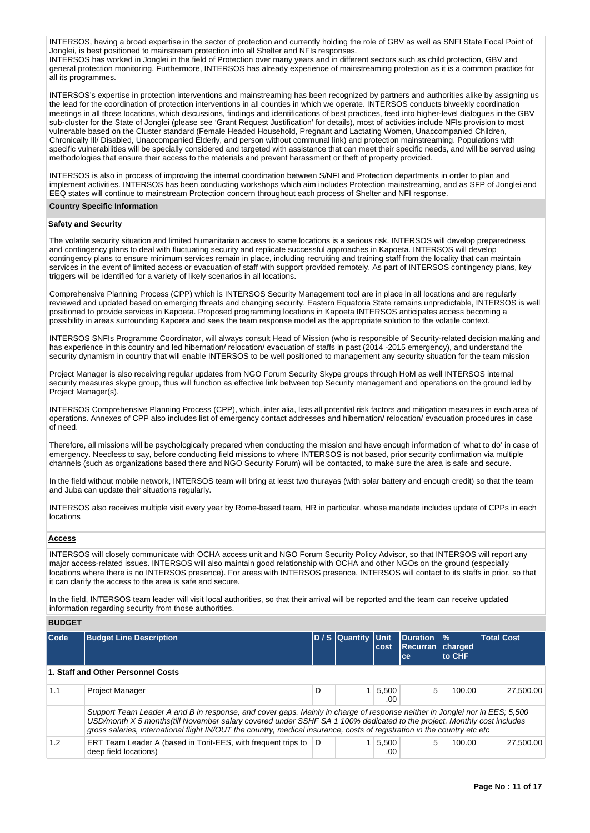INTERSOS, having a broad expertise in the sector of protection and currently holding the role of GBV as well as SNFI State Focal Point of Jonglei, is best positioned to mainstream protection into all Shelter and NFIs responses. INTERSOS has worked in Jonglei in the field of Protection over many years and in different sectors such as child protection, GBV and general protection monitoring. Furthermore, INTERSOS has already experience of mainstreaming protection as it is a common practice for all its programmes.

INTERSOS's expertise in protection interventions and mainstreaming has been recognized by partners and authorities alike by assigning us the lead for the coordination of protection interventions in all counties in which we operate. INTERSOS conducts biweekly coordination meetings in all those locations, which discussions, findings and identifications of best practices, feed into higher-level dialogues in the GBV sub-cluster for the State of Jonglei (please see 'Grant Request Justification' for details), most of activities include NFIs provision to most vulnerable based on the Cluster standard (Female Headed Household, Pregnant and Lactating Women, Unaccompanied Children, Chronically Ill/ Disabled, Unaccompanied Elderly, and person without communal link) and protection mainstreaming. Populations with specific vulnerabilities will be specially considered and targeted with assistance that can meet their specific needs, and will be served using methodologies that ensure their access to the materials and prevent harassment or theft of property provided.

INTERSOS is also in process of improving the internal coordination between S/NFI and Protection departments in order to plan and implement activities. INTERSOS has been conducting workshops which aim includes Protection mainstreaming, and as SFP of Jonglei and EEQ states will continue to mainstream Protection concern throughout each process of Shelter and NFI response.

#### **Country Specific Information**

#### **Safety and Security**

The volatile security situation and limited humanitarian access to some locations is a serious risk. INTERSOS will develop preparedness and contingency plans to deal with fluctuating security and replicate successful approaches in Kapoeta. INTERSOS will develop contingency plans to ensure minimum services remain in place, including recruiting and training staff from the locality that can maintain services in the event of limited access or evacuation of staff with support provided remotely. As part of INTERSOS contingency plans, key triggers will be identified for a variety of likely scenarios in all locations.

Comprehensive Planning Process (CPP) which is INTERSOS Security Management tool are in place in all locations and are regularly reviewed and updated based on emerging threats and changing security. Eastern Equatoria State remains unpredictable, INTERSOS is well positioned to provide services in Kapoeta. Proposed programming locations in Kapoeta INTERSOS anticipates access becoming a possibility in areas surrounding Kapoeta and sees the team response model as the appropriate solution to the volatile context.

INTERSOS SNFIs Programme Coordinator, will always consult Head of Mission (who is responsible of Security-related decision making and has experience in this country and led hibernation/ relocation/ evacuation of staffs in past (2014 -2015 emergency), and understand the security dynamism in country that will enable INTERSOS to be well positioned to management any security situation for the team mission

Project Manager is also receiving regular updates from NGO Forum Security Skype groups through HoM as well INTERSOS internal security measures skype group, thus will function as effective link between top Security management and operations on the ground led by Project Manager(s).

INTERSOS Comprehensive Planning Process (CPP), which, inter alia, lists all potential risk factors and mitigation measures in each area of operations. Annexes of CPP also includes list of emergency contact addresses and hibernation/ relocation/ evacuation procedures in case of need.

Therefore, all missions will be psychologically prepared when conducting the mission and have enough information of 'what to do' in case of emergency. Needless to say, before conducting field missions to where INTERSOS is not based, prior security confirmation via multiple channels (such as organizations based there and NGO Security Forum) will be contacted, to make sure the area is safe and secure.

In the field without mobile network, INTERSOS team will bring at least two thurayas (with solar battery and enough credit) so that the team and Juba can update their situations regularly.

INTERSOS also receives multiple visit every year by Rome-based team, HR in particular, whose mandate includes update of CPPs in each locations

# **Access**

INTERSOS will closely communicate with OCHA access unit and NGO Forum Security Policy Advisor, so that INTERSOS will report any major access-related issues. INTERSOS will also maintain good relationship with OCHA and other NGOs on the ground (especially locations where there is no INTERSOS presence). For areas with INTERSOS presence, INTERSOS will contact to its staffs in prior, so that it can clarify the access to the area is safe and secure.

In the field, INTERSOS team leader will visit local authorities, so that their arrival will be reported and the team can receive updated information regarding security from those authorities.

**BUDGET**

| Code | <b>Budget Line Description</b>                                                                                                                                                                                                                                                                                                                                                   |   | D / S Quantity Unit | <b>cost</b>  | <b>Duration</b><br><b>Recurran charged</b><br>ce | $\frac{9}{6}$<br>to CHF | <b>Total Cost</b> |  |  |
|------|----------------------------------------------------------------------------------------------------------------------------------------------------------------------------------------------------------------------------------------------------------------------------------------------------------------------------------------------------------------------------------|---|---------------------|--------------|--------------------------------------------------|-------------------------|-------------------|--|--|
|      | 1. Staff and Other Personnel Costs                                                                                                                                                                                                                                                                                                                                               |   |                     |              |                                                  |                         |                   |  |  |
| 1.1  | <b>Project Manager</b>                                                                                                                                                                                                                                                                                                                                                           | D |                     | 5.500<br>.00 | 5                                                | 100.00                  | 27,500.00         |  |  |
|      | Support Team Leader A and B in response, and cover gaps. Mainly in charge of response neither in Jonglei nor in EES; 5,500<br>USD/month X 5 months(till November salary covered under SSHF SA 1 100% dedicated to the project. Monthly cost includes<br>gross salaries, international flight IN/OUT the country, medical insurance, costs of registration in the country etc etc |   |                     |              |                                                  |                         |                   |  |  |
| 1.2  | ERT Team Leader A (based in Torit-EES, with frequent trips to   D<br>deep field locations)                                                                                                                                                                                                                                                                                       |   |                     | 5.500<br>.00 | 5                                                | 100.00                  | 27,500.00         |  |  |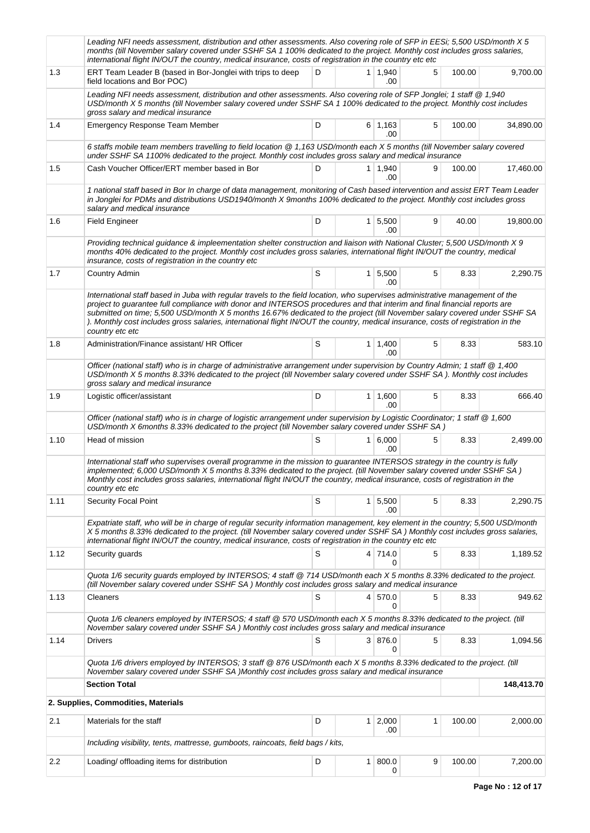|      | Leading NFI needs assessment, distribution and other assessments. Also covering role of SFP in EESi; 5,500 USD/month X 5<br>months (till November salary covered under SSHF SA 1 100% dedicated to the project. Monthly cost includes gross salaries,<br>international flight IN/OUT the country, medical insurance, costs of registration in the country etc etc                                                                                                                                                                              |   |                |                             |   |        |            |  |  |  |
|------|------------------------------------------------------------------------------------------------------------------------------------------------------------------------------------------------------------------------------------------------------------------------------------------------------------------------------------------------------------------------------------------------------------------------------------------------------------------------------------------------------------------------------------------------|---|----------------|-----------------------------|---|--------|------------|--|--|--|
| 1.3  | ERT Team Leader B (based in Bor-Jonglei with trips to deep<br>field locations and Bor POC)                                                                                                                                                                                                                                                                                                                                                                                                                                                     | D |                | $1 \mid 1,940$<br>.00       | 5 | 100.00 | 9,700.00   |  |  |  |
|      | Leading NFI needs assessment, distribution and other assessments. Also covering role of SFP Jonglei; 1 staff @ 1,940<br>USD/month X 5 months (till November salary covered under SSHF SA 1 100% dedicated to the project. Monthly cost includes<br>gross salary and medical insurance                                                                                                                                                                                                                                                          |   |                |                             |   |        |            |  |  |  |
| 1.4  | <b>Emergency Response Team Member</b>                                                                                                                                                                                                                                                                                                                                                                                                                                                                                                          | D |                | $6 \mid 1,163$<br>.00       | 5 | 100.00 | 34,890.00  |  |  |  |
|      | 6 staffs mobile team members travelling to field location @ 1,163 USD/month each X 5 months (till November salary covered<br>under SSHF SA 1100% dedicated to the project. Monthly cost includes gross salary and medical insurance                                                                                                                                                                                                                                                                                                            |   |                |                             |   |        |            |  |  |  |
| 1.5  | Cash Voucher Officer/ERT member based in Bor                                                                                                                                                                                                                                                                                                                                                                                                                                                                                                   | D |                | $1 \mid 1,940$<br>.00       | 9 | 100.00 | 17,460.00  |  |  |  |
|      | 1 national staff based in Bor In charge of data management, monitoring of Cash based intervention and assist ERT Team Leader<br>in Jonglei for PDMs and distributions USD1940/month X 9months 100% dedicated to the project. Monthly cost includes gross<br>salary and medical insurance                                                                                                                                                                                                                                                       |   |                |                             |   |        |            |  |  |  |
| 1.6  | <b>Field Engineer</b>                                                                                                                                                                                                                                                                                                                                                                                                                                                                                                                          | D |                | $1 \overline{5,500}$<br>.00 | 9 | 40.00  | 19,800.00  |  |  |  |
|      | Providing technical guidance & impleementation shelter construction and liaison with National Cluster; 5,500 USD/month X 9<br>months 40% dedicated to the project. Monthly cost includes gross salaries, international flight IN/OUT the country, medical<br>insurance, costs of registration in the country etc                                                                                                                                                                                                                               |   |                |                             |   |        |            |  |  |  |
| 1.7  | <b>Country Admin</b>                                                                                                                                                                                                                                                                                                                                                                                                                                                                                                                           | S |                | $1 \, 5,500$<br>.00         | 5 | 8.33   | 2,290.75   |  |  |  |
|      | International staff based in Juba with reqular travels to the field location, who supervises administrative management of the<br>project to guarantee full compliance with donor and INTERSOS procedures and that interim and final financial reports are<br>submitted on time; 5,500 USD/month X 5 months 16.67% dedicated to the project (till November salary covered under SSHF SA<br>). Monthly cost includes gross salaries, international flight IN/OUT the country, medical insurance, costs of registration in the<br>country etc etc |   |                |                             |   |        |            |  |  |  |
| 1.8  | Administration/Finance assistant/ HR Officer                                                                                                                                                                                                                                                                                                                                                                                                                                                                                                   | S |                | $1 \mid 1,400$<br>.00       | 5 | 8.33   | 583.10     |  |  |  |
|      | Officer (national staff) who is in charge of administrative arrangement under supervision by Country Admin; 1 staff @ 1,400<br>USD/month X 5 months 8.33% dedicated to the project (till November salary covered under SSHF SA). Monthly cost includes<br>gross salary and medical insurance                                                                                                                                                                                                                                                   |   |                |                             |   |        |            |  |  |  |
| 1.9  | Logistic officer/assistant                                                                                                                                                                                                                                                                                                                                                                                                                                                                                                                     | D |                | $1 \mid 1,600$<br>.00       | 5 | 8.33   | 666.40     |  |  |  |
|      | Officer (national staff) who is in charge of logistic arrangement under supervision by Logistic Coordinator; 1 staff @ 1,600<br>USD/month X 6months 8.33% dedicated to the project (till November salary covered under SSHF SA)                                                                                                                                                                                                                                                                                                                |   |                |                             |   |        |            |  |  |  |
| 1.10 | Head of mission                                                                                                                                                                                                                                                                                                                                                                                                                                                                                                                                | S |                | 1 6,000<br>.00              | 5 | 8.33   | 2,499.00   |  |  |  |
|      | International staff who supervises overall programme in the mission to guarantee INTERSOS strategy in the country is fully<br>implemented; 6,000 USD/month X 5 months 8.33% dedicated to the project. (till November salary covered under SSHF SA)<br>Monthly cost includes gross salaries, international flight IN/OUT the country, medical insurance, costs of registration in the<br>country etc etc                                                                                                                                        |   |                |                             |   |        |            |  |  |  |
| 1.11 | <b>Security Focal Point</b>                                                                                                                                                                                                                                                                                                                                                                                                                                                                                                                    | S |                | $1 \overline{5,500}$<br>.00 | 5 | 8.33   | 2,290.75   |  |  |  |
|      | Expatriate staff, who will be in charge of regular security information management, key element in the country; 5,500 USD/month<br>X 5 months 8.33% dedicated to the project. (till November salary covered under SSHF SA) Monthly cost includes gross salaries,<br>international flight IN/OUT the country, medical insurance, costs of registration in the country etc etc                                                                                                                                                                   |   |                |                             |   |        |            |  |  |  |
| 1.12 | Security guards                                                                                                                                                                                                                                                                                                                                                                                                                                                                                                                                | S |                | 4 714.0<br>0                | 5 | 8.33   | 1,189.52   |  |  |  |
|      | Quota 1/6 security guards employed by INTERSOS; 4 staff @ 714 USD/month each X 5 months 8.33% dedicated to the project.<br>(till November salary covered under SSHF SA) Monthly cost includes gross salary and medical insurance                                                                                                                                                                                                                                                                                                               |   |                |                             |   |        |            |  |  |  |
| 1.13 | Cleaners                                                                                                                                                                                                                                                                                                                                                                                                                                                                                                                                       | S |                | 4 570.0<br>0                | 5 | 8.33   | 949.62     |  |  |  |
|      | Quota 1/6 cleaners employed by INTERSOS; 4 staff @ 570 USD/month each X 5 months 8.33% dedicated to the project. (till<br>November salary covered under SSHF SA ) Monthly cost includes gross salary and medical insurance                                                                                                                                                                                                                                                                                                                     |   |                |                             |   |        |            |  |  |  |
| 1.14 | <b>Drivers</b>                                                                                                                                                                                                                                                                                                                                                                                                                                                                                                                                 | S |                | 3 876.0<br>0                | 5 | 8.33   | 1,094.56   |  |  |  |
|      | Quota 1/6 drivers employed by INTERSOS; 3 staff @ 876 USD/month each X 5 months 8.33% dedicated to the project. (till<br>November salary covered under SSHF SA )Monthly cost includes gross salary and medical insurance                                                                                                                                                                                                                                                                                                                       |   |                |                             |   |        |            |  |  |  |
|      | <b>Section Total</b>                                                                                                                                                                                                                                                                                                                                                                                                                                                                                                                           |   |                |                             |   |        | 148,413.70 |  |  |  |
|      | 2. Supplies, Commodities, Materials                                                                                                                                                                                                                                                                                                                                                                                                                                                                                                            |   |                |                             |   |        |            |  |  |  |
| 2.1  | Materials for the staff                                                                                                                                                                                                                                                                                                                                                                                                                                                                                                                        | D |                | $1 \quad 2,000$<br>.00      | 1 | 100.00 | 2,000.00   |  |  |  |
|      | Including visibility, tents, mattresse, gumboots, raincoats, field bags / kits,                                                                                                                                                                                                                                                                                                                                                                                                                                                                |   |                |                             |   |        |            |  |  |  |
| 2.2  | Loading/ offloading items for distribution                                                                                                                                                                                                                                                                                                                                                                                                                                                                                                     | D | 1 <sup>1</sup> | 800.0<br>0                  | 9 | 100.00 | 7,200.00   |  |  |  |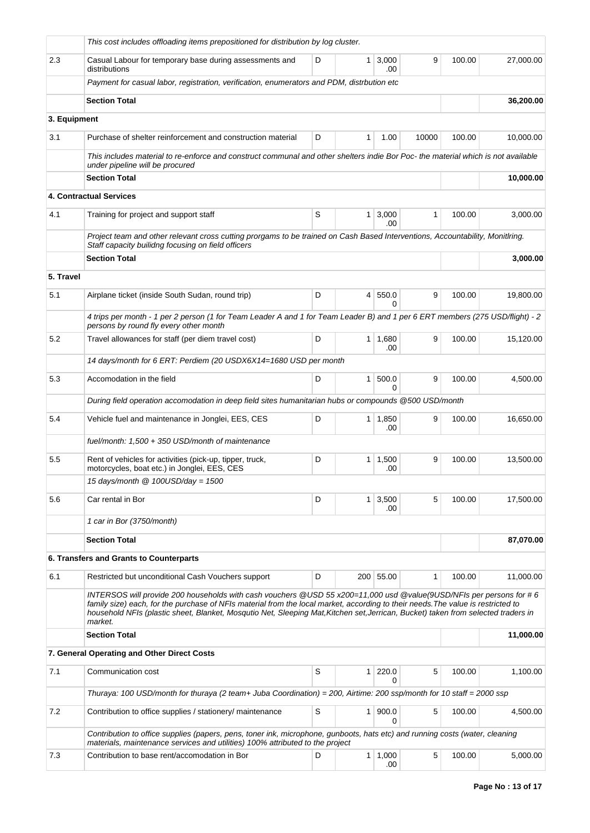|              | This cost includes offloading items prepositioned for distribution by log cluster.                                                                                                                                                                                                                                                                                                                      |   |              |                       |       |        |           |
|--------------|---------------------------------------------------------------------------------------------------------------------------------------------------------------------------------------------------------------------------------------------------------------------------------------------------------------------------------------------------------------------------------------------------------|---|--------------|-----------------------|-------|--------|-----------|
| 2.3          | Casual Labour for temporary base during assessments and<br>distributions                                                                                                                                                                                                                                                                                                                                | D | $\mathbf{1}$ | 3,000<br>.00          | 9     | 100.00 | 27,000.00 |
|              | Payment for casual labor, registration, verification, enumerators and PDM, distrbution etc                                                                                                                                                                                                                                                                                                              |   |              |                       |       |        |           |
|              | <b>Section Total</b>                                                                                                                                                                                                                                                                                                                                                                                    |   |              |                       |       |        | 36,200.00 |
| 3. Equipment |                                                                                                                                                                                                                                                                                                                                                                                                         |   |              |                       |       |        |           |
| 3.1          | Purchase of shelter reinforcement and construction material                                                                                                                                                                                                                                                                                                                                             | D | 1            | 1.00                  | 10000 | 100.00 | 10.000.00 |
|              | This includes material to re-enforce and construct communal and other shelters indie Bor Poc- the material which is not available<br>under pipeline will be procured                                                                                                                                                                                                                                    |   |              |                       |       |        |           |
|              | <b>Section Total</b>                                                                                                                                                                                                                                                                                                                                                                                    |   |              |                       |       |        | 10,000.00 |
|              | <b>4. Contractual Services</b>                                                                                                                                                                                                                                                                                                                                                                          |   |              |                       |       |        |           |
| 4.1          | Training for project and support staff                                                                                                                                                                                                                                                                                                                                                                  | S | $\mathbf{1}$ | 3,000<br>.00.         | 1     | 100.00 | 3,000.00  |
|              | Project team and other relevant cross cutting prorgams to be trained on Cash Based Interventions, Accountability, Monitlring.                                                                                                                                                                                                                                                                           |   |              |                       |       |        |           |
|              | Staff capacity builidng focusing on field officers<br><b>Section Total</b>                                                                                                                                                                                                                                                                                                                              |   |              |                       |       |        | 3,000.00  |
| 5. Travel    |                                                                                                                                                                                                                                                                                                                                                                                                         |   |              |                       |       |        |           |
| 5.1          | Airplane ticket (inside South Sudan, round trip)                                                                                                                                                                                                                                                                                                                                                        | D | 4            | 550.0                 | 9     | 100.00 | 19,800.00 |
|              |                                                                                                                                                                                                                                                                                                                                                                                                         |   |              | 0                     |       |        |           |
|              | 4 trips per month - 1 per 2 person (1 for Team Leader A and 1 for Team Leader B) and 1 per 6 ERT members (275 USD/flight) - 2<br>persons by round fly every other month                                                                                                                                                                                                                                 |   |              |                       |       |        |           |
| 5.2          | Travel allowances for staff (per diem travel cost)                                                                                                                                                                                                                                                                                                                                                      | D | 1            | 1,680<br>.00          | 9     | 100.00 | 15,120.00 |
|              | 14 days/month for 6 ERT: Perdiem (20 USDX6X14=1680 USD per month                                                                                                                                                                                                                                                                                                                                        |   |              |                       |       |        |           |
| 5.3          | Accomodation in the field                                                                                                                                                                                                                                                                                                                                                                               | D | $\mathbf{1}$ | 500.0<br>0            | 9     | 100.00 | 4,500.00  |
|              | During field operation accomodation in deep field sites humanitarian hubs or compounds @500 USD/month                                                                                                                                                                                                                                                                                                   |   |              |                       |       |        |           |
| 5.4          | Vehicle fuel and maintenance in Jonglei, EES, CES                                                                                                                                                                                                                                                                                                                                                       | D | $\mathbf{1}$ | 1,850<br>.00          | 9     | 100.00 | 16,650.00 |
|              | fuel/month: 1,500 + 350 USD/month of maintenance                                                                                                                                                                                                                                                                                                                                                        |   |              |                       |       |        |           |
| 5.5          | Rent of vehicles for activities (pick-up, tipper, truck,<br>motorcycles, boat etc.) in Jonglei, EES, CES                                                                                                                                                                                                                                                                                                | D |              | $1 \mid 1,500$<br>.00 | 9     | 100.00 | 13,500.00 |
|              | 15 days/month @ 100USD/day = 1500                                                                                                                                                                                                                                                                                                                                                                       |   |              |                       |       |        |           |
| 5.6          | Car rental in Bor                                                                                                                                                                                                                                                                                                                                                                                       | D | $\mathbf{1}$ | 3,500<br>.00          | 5     | 100.00 | 17,500.00 |
|              | 1 car in Bor (3750/month)                                                                                                                                                                                                                                                                                                                                                                               |   |              |                       |       |        |           |
|              | <b>Section Total</b>                                                                                                                                                                                                                                                                                                                                                                                    |   |              |                       |       |        | 87,070.00 |
|              | 6. Transfers and Grants to Counterparts                                                                                                                                                                                                                                                                                                                                                                 |   |              |                       |       |        |           |
| 6.1          | Restricted but unconditional Cash Vouchers support                                                                                                                                                                                                                                                                                                                                                      | D |              | 200 55.00             | 1     | 100.00 | 11,000.00 |
|              | INTERSOS will provide 200 households with cash vouchers @USD 55 x200=11,000 usd @value(9USD/NFIs per persons for #6<br>family size) each, for the purchase of NFIs material from the local market, according to their needs. The value is restricted to<br>household NFIs (plastic sheet, Blanket, Mosqutio Net, Sleeping Mat, Kitchen set, Jerrican, Bucket) taken from selected traders in<br>market. |   |              |                       |       |        |           |
|              | <b>Section Total</b>                                                                                                                                                                                                                                                                                                                                                                                    |   |              |                       |       |        | 11,000.00 |
|              | 7. General Operating and Other Direct Costs                                                                                                                                                                                                                                                                                                                                                             |   |              |                       |       |        |           |
| 7.1          | Communication cost                                                                                                                                                                                                                                                                                                                                                                                      | S | 1            | 220.0<br>$\Omega$     | 5     | 100.00 | 1,100.00  |
|              | Thuraya: 100 USD/month for thuraya (2 team+ Juba Coordination) = 200, Airtime: 200 ssp/month for 10 staff = 2000 ssp                                                                                                                                                                                                                                                                                    |   |              |                       |       |        |           |
| 7.2          | Contribution to office supplies / stationery/ maintenance                                                                                                                                                                                                                                                                                                                                               | S | $\mathbf{1}$ | 900.0<br>0            | 5     | 100.00 | 4,500.00  |
|              | Contribution to office supplies (papers, pens, toner ink, microphone, gunboots, hats etc) and running costs (water, cleaning                                                                                                                                                                                                                                                                            |   |              |                       |       |        |           |
| 7.3          | materials, maintenance services and utilities) 100% attributed to the project<br>Contribution to base rent/accomodation in Bor                                                                                                                                                                                                                                                                          | D |              | 1 1,000<br>.00        | 5     | 100.00 | 5,000.00  |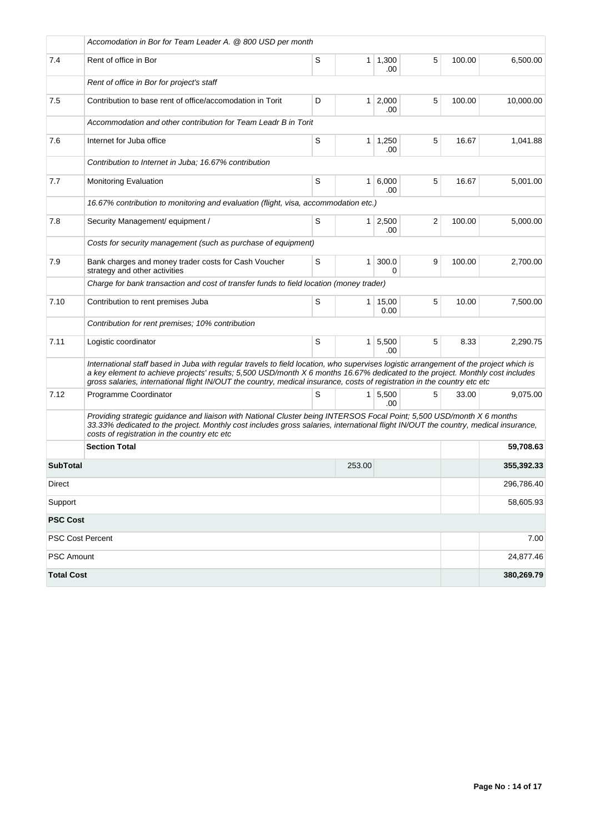|                         | Accomodation in Bor for Team Leader A. @ 800 USD per month                                                                                                                                                                                                                                                                                                                                         |             |          |                        |   |        |            |
|-------------------------|----------------------------------------------------------------------------------------------------------------------------------------------------------------------------------------------------------------------------------------------------------------------------------------------------------------------------------------------------------------------------------------------------|-------------|----------|------------------------|---|--------|------------|
| 7.4                     | Rent of office in Bor                                                                                                                                                                                                                                                                                                                                                                              | $\mathbb S$ |          | 1 1,300<br>.00         | 5 | 100.00 | 6,500.00   |
|                         | Rent of office in Bor for project's staff                                                                                                                                                                                                                                                                                                                                                          |             |          |                        |   |        |            |
| 7.5                     | Contribution to base rent of office/accomodation in Torit                                                                                                                                                                                                                                                                                                                                          | D           |          | $1 \mid 2,000$<br>.00  | 5 | 100.00 | 10,000.00  |
|                         | Accommodation and other contribution for Team Leadr B in Torit                                                                                                                                                                                                                                                                                                                                     |             |          |                        |   |        |            |
| 7.6                     | Internet for Juba office                                                                                                                                                                                                                                                                                                                                                                           | S           |          | $1 \mid 1,250$<br>.00  | 5 | 16.67  | 1,041.88   |
|                         | Contribution to Internet in Juba; 16.67% contribution                                                                                                                                                                                                                                                                                                                                              |             |          |                        |   |        |            |
| 7.7                     | <b>Monitoring Evaluation</b>                                                                                                                                                                                                                                                                                                                                                                       | S           |          | 1 6,000<br>.00         | 5 | 16.67  | 5,001.00   |
|                         | 16.67% contribution to monitoring and evaluation (flight, visa, accommodation etc.)                                                                                                                                                                                                                                                                                                                |             |          |                        |   |        |            |
| 7.8                     | Security Management/ equipment /                                                                                                                                                                                                                                                                                                                                                                   | S           |          | $1 \mid 2,500$<br>.00  | 2 | 100.00 | 5,000.00   |
|                         | Costs for security management (such as purchase of equipment)                                                                                                                                                                                                                                                                                                                                      |             |          |                        |   |        |            |
| 7.9                     | Bank charges and money trader costs for Cash Voucher<br>strategy and other activities                                                                                                                                                                                                                                                                                                              | S           | $1 \mid$ | 300.0<br>$\Omega$      | 9 | 100.00 | 2,700.00   |
|                         | Charge for bank transaction and cost of transfer funds to field location (money trader)                                                                                                                                                                                                                                                                                                            |             |          |                        |   |        |            |
| 7.10                    | Contribution to rent premises Juba                                                                                                                                                                                                                                                                                                                                                                 | S           |          | $1 \mid 15,00$<br>0.00 | 5 | 10.00  | 7,500.00   |
|                         | Contribution for rent premises; 10% contribution                                                                                                                                                                                                                                                                                                                                                   |             |          |                        |   |        |            |
| 7.11                    | Logistic coordinator                                                                                                                                                                                                                                                                                                                                                                               | S           |          | $1 \mid 5,500$<br>.00  | 5 | 8.33   | 2,290.75   |
|                         | International staff based in Juba with regular travels to field location, who supervises logistic arrangement of the project which is<br>a key element to achieve projects' results; 5,500 USD/month X 6 months 16.67% dedicated to the project. Monthly cost includes<br>gross salaries, international flight IN/OUT the country, medical insurance, costs of registration in the country etc etc |             |          |                        |   |        |            |
| 7.12                    | Programme Coordinator                                                                                                                                                                                                                                                                                                                                                                              | S           |          | $1 \mid 5,500$<br>.00  | 5 | 33.00  | 9.075.00   |
|                         | Providing strategic guidance and liaison with National Cluster being INTERSOS Focal Point; 5,500 USD/month X 6 months<br>33.33% dedicated to the project. Monthly cost includes gross salaries, international flight IN/OUT the country, medical insurance,<br>costs of registration in the country etc etc                                                                                        |             |          |                        |   |        |            |
|                         | <b>Section Total</b>                                                                                                                                                                                                                                                                                                                                                                               |             |          |                        |   |        | 59,708.63  |
| <b>SubTotal</b>         |                                                                                                                                                                                                                                                                                                                                                                                                    |             | 253.00   |                        |   |        | 355,392.33 |
| Direct                  |                                                                                                                                                                                                                                                                                                                                                                                                    |             |          |                        |   |        | 296,786.40 |
| Support                 |                                                                                                                                                                                                                                                                                                                                                                                                    |             |          | 58,605.93              |   |        |            |
| <b>PSC Cost</b>         |                                                                                                                                                                                                                                                                                                                                                                                                    |             |          |                        |   |        |            |
| <b>PSC Cost Percent</b> |                                                                                                                                                                                                                                                                                                                                                                                                    |             |          |                        |   |        | 7.00       |
| <b>PSC Amount</b>       |                                                                                                                                                                                                                                                                                                                                                                                                    |             |          | 24,877.46              |   |        |            |
| <b>Total Cost</b>       |                                                                                                                                                                                                                                                                                                                                                                                                    |             |          |                        |   |        | 380,269.79 |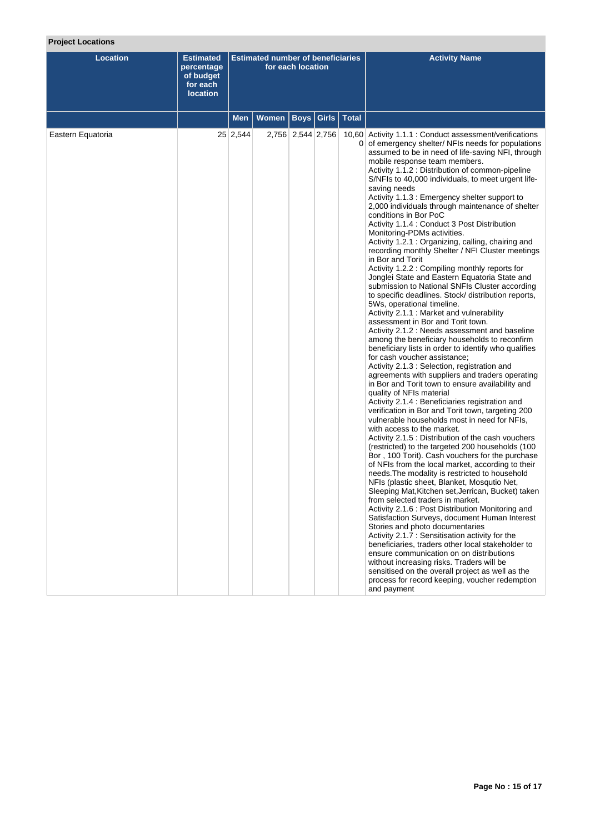# **Project Locations**

| <b>Location</b>   | <b>Estimated</b><br>percentage<br>of budget<br>for each<br><b>location</b> |          | <b>Estimated number of beneficiaries</b> | for each location |              |              | <b>Activity Name</b>                                                                                                                                                                                                                                                                                                                                                                                                                                                                                                                                                                                                                                                                                                                                                                                                                                                                                                                                                                                                                                                                                                                                                                                                                                                                                                                                                                                                                                                                                                                                                                                                                                                                                                                                                                                                                                                                                                                                                                                                                                                                                                                                                                                                                                                                                                                                                                                                                              |
|-------------------|----------------------------------------------------------------------------|----------|------------------------------------------|-------------------|--------------|--------------|---------------------------------------------------------------------------------------------------------------------------------------------------------------------------------------------------------------------------------------------------------------------------------------------------------------------------------------------------------------------------------------------------------------------------------------------------------------------------------------------------------------------------------------------------------------------------------------------------------------------------------------------------------------------------------------------------------------------------------------------------------------------------------------------------------------------------------------------------------------------------------------------------------------------------------------------------------------------------------------------------------------------------------------------------------------------------------------------------------------------------------------------------------------------------------------------------------------------------------------------------------------------------------------------------------------------------------------------------------------------------------------------------------------------------------------------------------------------------------------------------------------------------------------------------------------------------------------------------------------------------------------------------------------------------------------------------------------------------------------------------------------------------------------------------------------------------------------------------------------------------------------------------------------------------------------------------------------------------------------------------------------------------------------------------------------------------------------------------------------------------------------------------------------------------------------------------------------------------------------------------------------------------------------------------------------------------------------------------------------------------------------------------------------------------------------------------|
|                   |                                                                            | Men      | <b>Women</b>                             |                   | Boys   Girls | <b>Total</b> |                                                                                                                                                                                                                                                                                                                                                                                                                                                                                                                                                                                                                                                                                                                                                                                                                                                                                                                                                                                                                                                                                                                                                                                                                                                                                                                                                                                                                                                                                                                                                                                                                                                                                                                                                                                                                                                                                                                                                                                                                                                                                                                                                                                                                                                                                                                                                                                                                                                   |
| Eastern Equatoria |                                                                            | 25 2,544 |                                          | 2,756 2,544 2,756 |              |              | 10,60 Activity 1.1.1 : Conduct assessment/verifications<br>0 of emergency shelter/ NFIs needs for populations<br>assumed to be in need of life-saving NFI, through<br>mobile response team members.<br>Activity 1.1.2: Distribution of common-pipeline<br>S/NFIs to 40,000 individuals, to meet urgent life-<br>saving needs<br>Activity 1.1.3 : Emergency shelter support to<br>2,000 individuals through maintenance of shelter<br>conditions in Bor PoC<br>Activity 1.1.4 : Conduct 3 Post Distribution<br>Monitoring-PDMs activities.<br>Activity 1.2.1: Organizing, calling, chairing and<br>recording monthly Shelter / NFI Cluster meetings<br>in Bor and Torit<br>Activity 1.2.2: Compiling monthly reports for<br>Jonglei State and Eastern Equatoria State and<br>submission to National SNFIs Cluster according<br>to specific deadlines. Stock/ distribution reports,<br>5Ws, operational timeline.<br>Activity 2.1.1 : Market and vulnerability<br>assessment in Bor and Torit town.<br>Activity 2.1.2 : Needs assessment and baseline<br>among the beneficiary households to reconfirm<br>beneficiary lists in order to identify who qualifies<br>for cash voucher assistance;<br>Activity 2.1.3 : Selection, registration and<br>agreements with suppliers and traders operating<br>in Bor and Torit town to ensure availability and<br>quality of NFIs material<br>Activity 2.1.4 : Beneficiaries registration and<br>verification in Bor and Torit town, targeting 200<br>vulnerable households most in need for NFIs,<br>with access to the market.<br>Activity 2.1.5 : Distribution of the cash vouchers<br>(restricted) to the targeted 200 households (100<br>Bor, 100 Torit). Cash vouchers for the purchase<br>of NFIs from the local market, according to their<br>needs. The modality is restricted to household<br>NFIs (plastic sheet, Blanket, Mosqutio Net,<br>Sleeping Mat, Kitchen set, Jerrican, Bucket) taken<br>from selected traders in market.<br>Activity 2.1.6 : Post Distribution Monitoring and<br>Satisfaction Surveys, document Human Interest<br>Stories and photo documentaries<br>Activity 2.1.7 : Sensitisation activity for the<br>beneficiaries, traders other local stakeholder to<br>ensure communication on on distributions<br>without increasing risks. Traders will be<br>sensitised on the overall project as well as the<br>process for record keeping, voucher redemption<br>and payment |